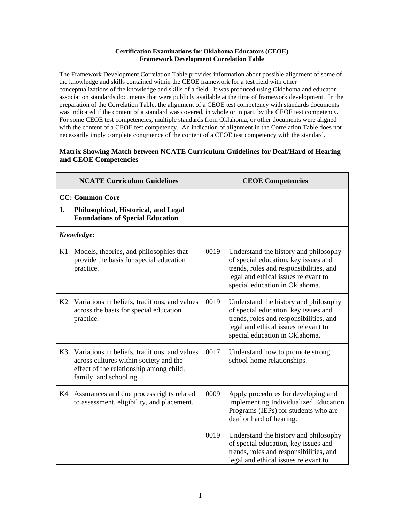## **Certification Examinations for Oklahoma Educators (CEOE) Framework Development Correlation Table**

The Framework Development Correlation Table provides information about possible alignment of some of the knowledge and skills contained within the CEOE framework for a test field with other conceptualizations of the knowledge and skills of a field. It was produced using Oklahoma and educator association standards documents that were publicly available at the time of framework development. In the preparation of the Correlation Table, the alignment of a CEOE test competency with standards documents was indicated if the content of a standard was covered, in whole or in part, by the CEOE test competency. For some CEOE test competencies, multiple standards from Oklahoma, or other documents were aligned with the content of a CEOE test competency. An indication of alignment in the Correlation Table does not necessarily imply complete congruence of the content of a CEOE test competency with the standard.

## **Matrix Showing Match between NCATE Curriculum Guidelines for Deaf/Hard of Hearing and CEOE Competencies**

| <b>NCATE Curriculum Guidelines</b> |                                                                                                                                                              |      | <b>CEOE Competencies</b>                                                                                                                                                                           |
|------------------------------------|--------------------------------------------------------------------------------------------------------------------------------------------------------------|------|----------------------------------------------------------------------------------------------------------------------------------------------------------------------------------------------------|
|                                    | <b>CC: Common Core</b>                                                                                                                                       |      |                                                                                                                                                                                                    |
| 1.                                 | Philosophical, Historical, and Legal<br><b>Foundations of Special Education</b>                                                                              |      |                                                                                                                                                                                                    |
|                                    | Knowledge:                                                                                                                                                   |      |                                                                                                                                                                                                    |
| K1                                 | Models, theories, and philosophies that<br>provide the basis for special education<br>practice.                                                              | 0019 | Understand the history and philosophy<br>of special education, key issues and<br>trends, roles and responsibilities, and<br>legal and ethical issues relevant to<br>special education in Oklahoma. |
| K2                                 | Variations in beliefs, traditions, and values<br>across the basis for special education<br>practice.                                                         | 0019 | Understand the history and philosophy<br>of special education, key issues and<br>trends, roles and responsibilities, and<br>legal and ethical issues relevant to<br>special education in Oklahoma. |
| K <sub>3</sub>                     | Variations in beliefs, traditions, and values<br>across cultures within society and the<br>effect of the relationship among child,<br>family, and schooling. | 0017 | Understand how to promote strong<br>school-home relationships.                                                                                                                                     |
| K4                                 | Assurances and due process rights related<br>to assessment, eligibility, and placement.                                                                      | 0009 | Apply procedures for developing and<br>implementing Individualized Education<br>Programs (IEPs) for students who are<br>deaf or hard of hearing.                                                   |
|                                    |                                                                                                                                                              | 0019 | Understand the history and philosophy<br>of special education, key issues and<br>trends, roles and responsibilities, and<br>legal and ethical issues relevant to                                   |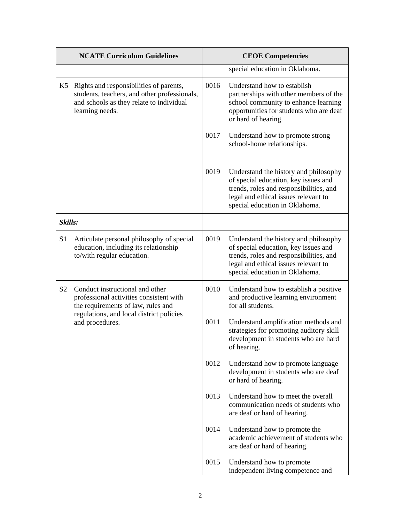|                | <b>NCATE Curriculum Guidelines</b>                                                                                                                     |      | <b>CEOE Competencies</b>                                                                                                                                                                           |
|----------------|--------------------------------------------------------------------------------------------------------------------------------------------------------|------|----------------------------------------------------------------------------------------------------------------------------------------------------------------------------------------------------|
|                |                                                                                                                                                        |      | special education in Oklahoma.                                                                                                                                                                     |
| K5             | Rights and responsibilities of parents,<br>students, teachers, and other professionals,<br>and schools as they relate to individual<br>learning needs. | 0016 | Understand how to establish<br>partnerships with other members of the<br>school community to enhance learning<br>opportunities for students who are deaf<br>or hard of hearing.                    |
|                |                                                                                                                                                        | 0017 | Understand how to promote strong<br>school-home relationships.                                                                                                                                     |
|                |                                                                                                                                                        | 0019 | Understand the history and philosophy<br>of special education, key issues and<br>trends, roles and responsibilities, and<br>legal and ethical issues relevant to<br>special education in Oklahoma. |
| Skills:        |                                                                                                                                                        |      |                                                                                                                                                                                                    |
| S1             | Articulate personal philosophy of special<br>education, including its relationship<br>to/with regular education.                                       | 0019 | Understand the history and philosophy<br>of special education, key issues and<br>trends, roles and responsibilities, and<br>legal and ethical issues relevant to<br>special education in Oklahoma. |
| S <sub>2</sub> | Conduct instructional and other<br>professional activities consistent with<br>the requirements of law, rules and                                       | 0010 | Understand how to establish a positive<br>and productive learning environment<br>for all students.                                                                                                 |
|                | regulations, and local district policies<br>and procedures.                                                                                            | 0011 | Understand amplification methods and<br>strategies for promoting auditory skill<br>development in students who are hard<br>of hearing.                                                             |
|                |                                                                                                                                                        | 0012 | Understand how to promote language<br>development in students who are deaf<br>or hard of hearing.                                                                                                  |
|                |                                                                                                                                                        | 0013 | Understand how to meet the overall<br>communication needs of students who<br>are deaf or hard of hearing.                                                                                          |
|                |                                                                                                                                                        | 0014 | Understand how to promote the<br>academic achievement of students who<br>are deaf or hard of hearing.                                                                                              |
|                |                                                                                                                                                        | 0015 | Understand how to promote<br>independent living competence and                                                                                                                                     |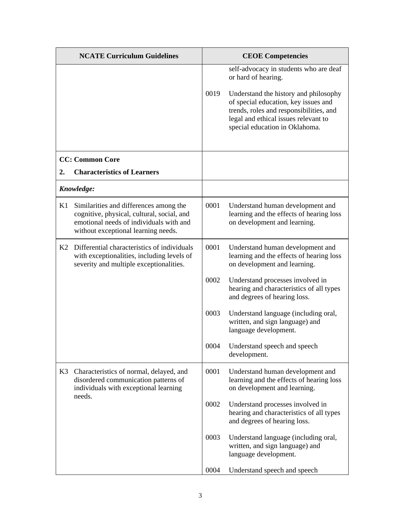|    | <b>NCATE Curriculum Guidelines</b>                                                                                                                                     |      | <b>CEOE Competencies</b>                                                                                                                                                                                                                                            |
|----|------------------------------------------------------------------------------------------------------------------------------------------------------------------------|------|---------------------------------------------------------------------------------------------------------------------------------------------------------------------------------------------------------------------------------------------------------------------|
|    |                                                                                                                                                                        | 0019 | self-advocacy in students who are deaf<br>or hard of hearing.<br>Understand the history and philosophy<br>of special education, key issues and<br>trends, roles and responsibilities, and<br>legal and ethical issues relevant to<br>special education in Oklahoma. |
|    | <b>CC: Common Core</b>                                                                                                                                                 |      |                                                                                                                                                                                                                                                                     |
| 2. | <b>Characteristics of Learners</b>                                                                                                                                     |      |                                                                                                                                                                                                                                                                     |
|    | Knowledge:                                                                                                                                                             |      |                                                                                                                                                                                                                                                                     |
| K1 | Similarities and differences among the<br>cognitive, physical, cultural, social, and<br>emotional needs of individuals with and<br>without exceptional learning needs. | 0001 | Understand human development and<br>learning and the effects of hearing loss<br>on development and learning.                                                                                                                                                        |
| K2 | Differential characteristics of individuals<br>with exceptionalities, including levels of<br>severity and multiple exceptionalities.                                   | 0001 | Understand human development and<br>learning and the effects of hearing loss<br>on development and learning.                                                                                                                                                        |
|    |                                                                                                                                                                        | 0002 | Understand processes involved in<br>hearing and characteristics of all types<br>and degrees of hearing loss.                                                                                                                                                        |
|    |                                                                                                                                                                        | 0003 | Understand language (including oral,<br>written, and sign language) and<br>language development.                                                                                                                                                                    |
|    |                                                                                                                                                                        | 0004 | Understand speech and speech<br>development.                                                                                                                                                                                                                        |
| K3 | Characteristics of normal, delayed, and<br>disordered communication patterns of<br>individuals with exceptional learning                                               | 0001 | Understand human development and<br>learning and the effects of hearing loss<br>on development and learning.                                                                                                                                                        |
|    | needs.                                                                                                                                                                 | 0002 | Understand processes involved in<br>hearing and characteristics of all types<br>and degrees of hearing loss.                                                                                                                                                        |
|    |                                                                                                                                                                        | 0003 | Understand language (including oral,<br>written, and sign language) and<br>language development.                                                                                                                                                                    |
|    |                                                                                                                                                                        | 0004 | Understand speech and speech                                                                                                                                                                                                                                        |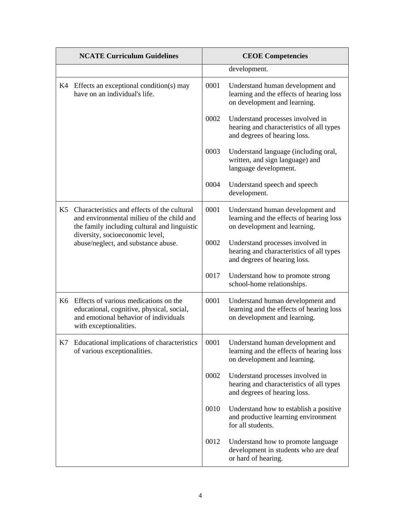|                | <b>NCATE Curriculum Guidelines</b>                                                                                                                                                                                 |      | <b>CEOE Competencies</b>                                                                                     |
|----------------|--------------------------------------------------------------------------------------------------------------------------------------------------------------------------------------------------------------------|------|--------------------------------------------------------------------------------------------------------------|
|                |                                                                                                                                                                                                                    |      | development.                                                                                                 |
|                | K4 Effects an exceptional condition(s) may<br>have on an individual's life.                                                                                                                                        | 0001 | Understand human development and<br>learning and the effects of hearing loss<br>on development and learning. |
|                |                                                                                                                                                                                                                    | 0002 | Understand processes involved in<br>hearing and characteristics of all types<br>and degrees of hearing loss. |
|                |                                                                                                                                                                                                                    | 0003 | Understand language (including oral,<br>written, and sign language) and<br>language development.             |
|                |                                                                                                                                                                                                                    | 0004 | Understand speech and speech<br>development.                                                                 |
| K <sub>5</sub> | Characteristics and effects of the cultural<br>and environmental milieu of the child and<br>the family including cultural and linguistic<br>diversity, socioeconomic level,<br>abuse/neglect, and substance abuse. | 0001 | Understand human development and<br>learning and the effects of hearing loss<br>on development and learning. |
|                |                                                                                                                                                                                                                    | 0002 | Understand processes involved in<br>hearing and characteristics of all types<br>and degrees of hearing loss. |
|                |                                                                                                                                                                                                                    | 0017 | Understand how to promote strong<br>school-home relationships.                                               |
|                | K6 Effects of various medications on the<br>educational, cognitive, physical, social,<br>and emotional behavior of individuals<br>with exceptionalities.                                                           | 0001 | Understand human development and<br>learning and the effects of hearing loss<br>on development and learning. |
|                | K7 Educational implications of characteristics<br>of various exceptionalities.                                                                                                                                     | 0001 | Understand human development and<br>learning and the effects of hearing loss<br>on development and learning. |
|                |                                                                                                                                                                                                                    | 0002 | Understand processes involved in<br>hearing and characteristics of all types<br>and degrees of hearing loss. |
|                |                                                                                                                                                                                                                    | 0010 | Understand how to establish a positive<br>and productive learning environment<br>for all students.           |
|                |                                                                                                                                                                                                                    | 0012 | Understand how to promote language<br>development in students who are deaf<br>or hard of hearing.            |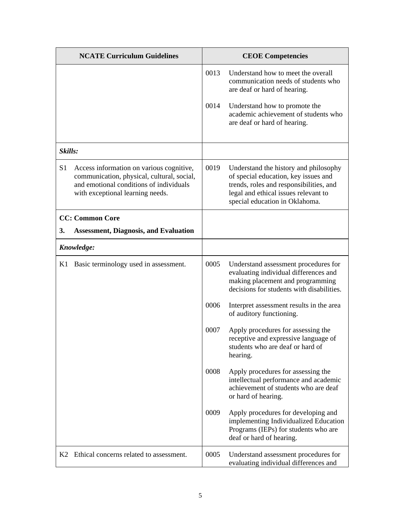|                | <b>NCATE Curriculum Guidelines</b>                                                                                                                                    |      | <b>CEOE Competencies</b>                                                                                                                                                                           |
|----------------|-----------------------------------------------------------------------------------------------------------------------------------------------------------------------|------|----------------------------------------------------------------------------------------------------------------------------------------------------------------------------------------------------|
|                |                                                                                                                                                                       | 0013 | Understand how to meet the overall<br>communication needs of students who<br>are deaf or hard of hearing.                                                                                          |
|                |                                                                                                                                                                       | 0014 | Understand how to promote the<br>academic achievement of students who<br>are deaf or hard of hearing.                                                                                              |
| Skills:        |                                                                                                                                                                       |      |                                                                                                                                                                                                    |
| S <sub>1</sub> | Access information on various cognitive,<br>communication, physical, cultural, social,<br>and emotional conditions of individuals<br>with exceptional learning needs. | 0019 | Understand the history and philosophy<br>of special education, key issues and<br>trends, roles and responsibilities, and<br>legal and ethical issues relevant to<br>special education in Oklahoma. |
|                | <b>CC: Common Core</b>                                                                                                                                                |      |                                                                                                                                                                                                    |
| 3.             | <b>Assessment, Diagnosis, and Evaluation</b>                                                                                                                          |      |                                                                                                                                                                                                    |
|                | Knowledge:                                                                                                                                                            |      |                                                                                                                                                                                                    |
| K1             | Basic terminology used in assessment.                                                                                                                                 | 0005 | Understand assessment procedures for<br>evaluating individual differences and<br>making placement and programming<br>decisions for students with disabilities.                                     |
|                |                                                                                                                                                                       | 0006 | Interpret assessment results in the area<br>of auditory functioning.                                                                                                                               |
|                |                                                                                                                                                                       | 0007 | Apply procedures for assessing the<br>receptive and expressive language of<br>students who are deaf or hard of<br>hearing.                                                                         |
|                |                                                                                                                                                                       | 0008 | Apply procedures for assessing the<br>intellectual performance and academic<br>achievement of students who are deaf<br>or hard of hearing.                                                         |
|                |                                                                                                                                                                       | 0009 | Apply procedures for developing and<br>implementing Individualized Education<br>Programs (IEPs) for students who are<br>deaf or hard of hearing.                                                   |
|                | K2 Ethical concerns related to assessment.                                                                                                                            | 0005 | Understand assessment procedures for<br>evaluating individual differences and                                                                                                                      |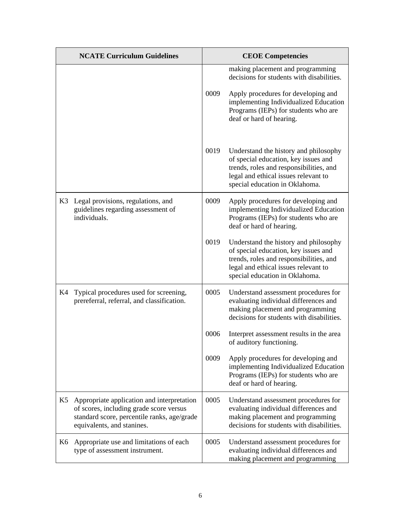|    | <b>NCATE Curriculum Guidelines</b>                                                                                                                                 |      | <b>CEOE Competencies</b>                                                                                                                                                                           |
|----|--------------------------------------------------------------------------------------------------------------------------------------------------------------------|------|----------------------------------------------------------------------------------------------------------------------------------------------------------------------------------------------------|
|    |                                                                                                                                                                    |      | making placement and programming<br>decisions for students with disabilities.                                                                                                                      |
|    |                                                                                                                                                                    | 0009 | Apply procedures for developing and<br>implementing Individualized Education<br>Programs (IEPs) for students who are<br>deaf or hard of hearing.                                                   |
|    |                                                                                                                                                                    | 0019 | Understand the history and philosophy<br>of special education, key issues and<br>trends, roles and responsibilities, and<br>legal and ethical issues relevant to<br>special education in Oklahoma. |
| K3 | Legal provisions, regulations, and<br>guidelines regarding assessment of<br>individuals.                                                                           | 0009 | Apply procedures for developing and<br>implementing Individualized Education<br>Programs (IEPs) for students who are<br>deaf or hard of hearing.                                                   |
|    |                                                                                                                                                                    | 0019 | Understand the history and philosophy<br>of special education, key issues and<br>trends, roles and responsibilities, and<br>legal and ethical issues relevant to<br>special education in Oklahoma. |
| K4 | Typical procedures used for screening,<br>prereferral, referral, and classification.                                                                               | 0005 | Understand assessment procedures for<br>evaluating individual differences and<br>making placement and programming<br>decisions for students with disabilities.                                     |
|    |                                                                                                                                                                    | 0006 | Interpret assessment results in the area<br>of auditory functioning.                                                                                                                               |
|    |                                                                                                                                                                    | 0009 | Apply procedures for developing and<br>implementing Individualized Education<br>Programs (IEPs) for students who are<br>deaf or hard of hearing.                                                   |
| K5 | Appropriate application and interpretation<br>of scores, including grade score versus<br>standard score, percentile ranks, age/grade<br>equivalents, and stanines. | 0005 | Understand assessment procedures for<br>evaluating individual differences and<br>making placement and programming<br>decisions for students with disabilities.                                     |
| K6 | Appropriate use and limitations of each<br>type of assessment instrument.                                                                                          | 0005 | Understand assessment procedures for<br>evaluating individual differences and<br>making placement and programming                                                                                  |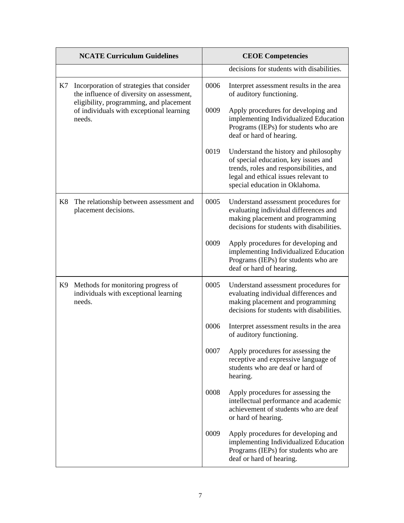|    | <b>NCATE Curriculum Guidelines</b>                                                                                                |      | <b>CEOE Competencies</b>                                                                                                                                                                           |
|----|-----------------------------------------------------------------------------------------------------------------------------------|------|----------------------------------------------------------------------------------------------------------------------------------------------------------------------------------------------------|
|    |                                                                                                                                   |      | decisions for students with disabilities.                                                                                                                                                          |
| K7 | Incorporation of strategies that consider<br>the influence of diversity on assessment,<br>eligibility, programming, and placement | 0006 | Interpret assessment results in the area<br>of auditory functioning.                                                                                                                               |
|    | of individuals with exceptional learning<br>needs.                                                                                | 0009 | Apply procedures for developing and<br>implementing Individualized Education<br>Programs (IEPs) for students who are<br>deaf or hard of hearing.                                                   |
|    |                                                                                                                                   | 0019 | Understand the history and philosophy<br>of special education, key issues and<br>trends, roles and responsibilities, and<br>legal and ethical issues relevant to<br>special education in Oklahoma. |
| K8 | The relationship between assessment and<br>placement decisions.                                                                   | 0005 | Understand assessment procedures for<br>evaluating individual differences and<br>making placement and programming<br>decisions for students with disabilities.                                     |
|    |                                                                                                                                   | 0009 | Apply procedures for developing and<br>implementing Individualized Education<br>Programs (IEPs) for students who are<br>deaf or hard of hearing.                                                   |
| K9 | Methods for monitoring progress of<br>individuals with exceptional learning<br>needs.                                             | 0005 | Understand assessment procedures for<br>evaluating individual differences and<br>making placement and programming<br>decisions for students with disabilities.                                     |
|    |                                                                                                                                   | 0006 | Interpret assessment results in the area<br>of auditory functioning.                                                                                                                               |
|    |                                                                                                                                   | 0007 | Apply procedures for assessing the<br>receptive and expressive language of<br>students who are deaf or hard of<br>hearing.                                                                         |
|    |                                                                                                                                   | 0008 | Apply procedures for assessing the<br>intellectual performance and academic<br>achievement of students who are deaf<br>or hard of hearing.                                                         |
|    |                                                                                                                                   | 0009 | Apply procedures for developing and<br>implementing Individualized Education<br>Programs (IEPs) for students who are<br>deaf or hard of hearing.                                                   |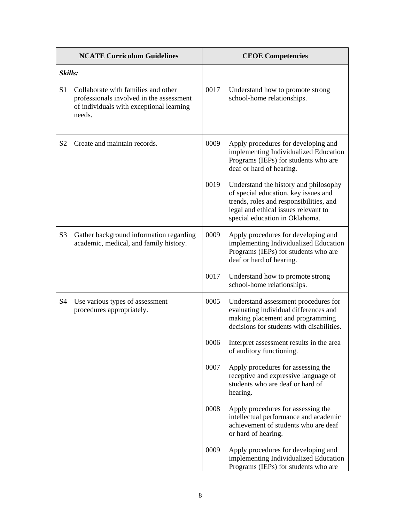|                | <b>NCATE Curriculum Guidelines</b>                                                                                                    |      | <b>CEOE Competencies</b>                                                                                                                                                                           |
|----------------|---------------------------------------------------------------------------------------------------------------------------------------|------|----------------------------------------------------------------------------------------------------------------------------------------------------------------------------------------------------|
| Skills:        |                                                                                                                                       |      |                                                                                                                                                                                                    |
| S <sub>1</sub> | Collaborate with families and other<br>professionals involved in the assessment<br>of individuals with exceptional learning<br>needs. | 0017 | Understand how to promote strong<br>school-home relationships.                                                                                                                                     |
| S <sub>2</sub> | Create and maintain records.                                                                                                          | 0009 | Apply procedures for developing and<br>implementing Individualized Education<br>Programs (IEPs) for students who are<br>deaf or hard of hearing.                                                   |
|                |                                                                                                                                       | 0019 | Understand the history and philosophy<br>of special education, key issues and<br>trends, roles and responsibilities, and<br>legal and ethical issues relevant to<br>special education in Oklahoma. |
| S <sub>3</sub> | Gather background information regarding<br>academic, medical, and family history.                                                     | 0009 | Apply procedures for developing and<br>implementing Individualized Education<br>Programs (IEPs) for students who are<br>deaf or hard of hearing.                                                   |
|                |                                                                                                                                       | 0017 | Understand how to promote strong<br>school-home relationships.                                                                                                                                     |
| S <sub>4</sub> | Use various types of assessment<br>procedures appropriately.                                                                          | 0005 | Understand assessment procedures for<br>evaluating individual differences and<br>making placement and programming<br>decisions for students with disabilities.                                     |
|                |                                                                                                                                       | 0006 | Interpret assessment results in the area<br>of auditory functioning.                                                                                                                               |
|                |                                                                                                                                       | 0007 | Apply procedures for assessing the<br>receptive and expressive language of<br>students who are deaf or hard of<br>hearing.                                                                         |
|                |                                                                                                                                       | 0008 | Apply procedures for assessing the<br>intellectual performance and academic<br>achievement of students who are deaf<br>or hard of hearing.                                                         |
|                |                                                                                                                                       | 0009 | Apply procedures for developing and<br>implementing Individualized Education<br>Programs (IEPs) for students who are                                                                               |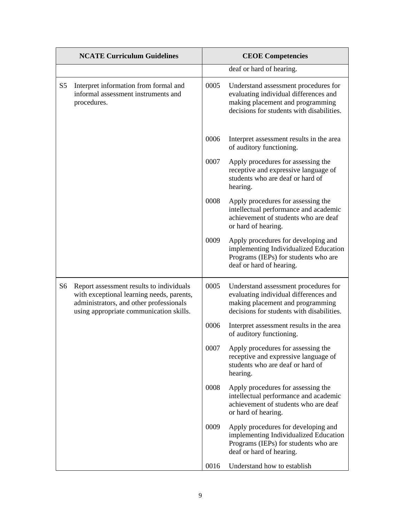|                | <b>NCATE Curriculum Guidelines</b>                                                                                                                                          |      | <b>CEOE Competencies</b>                                                                                                                                       |
|----------------|-----------------------------------------------------------------------------------------------------------------------------------------------------------------------------|------|----------------------------------------------------------------------------------------------------------------------------------------------------------------|
|                |                                                                                                                                                                             |      | deaf or hard of hearing.                                                                                                                                       |
| S <sub>5</sub> | Interpret information from formal and<br>informal assessment instruments and<br>procedures.                                                                                 | 0005 | Understand assessment procedures for<br>evaluating individual differences and<br>making placement and programming<br>decisions for students with disabilities. |
|                |                                                                                                                                                                             | 0006 | Interpret assessment results in the area<br>of auditory functioning.                                                                                           |
|                |                                                                                                                                                                             | 0007 | Apply procedures for assessing the<br>receptive and expressive language of<br>students who are deaf or hard of<br>hearing.                                     |
|                |                                                                                                                                                                             | 0008 | Apply procedures for assessing the<br>intellectual performance and academic<br>achievement of students who are deaf<br>or hard of hearing.                     |
|                |                                                                                                                                                                             | 0009 | Apply procedures for developing and<br>implementing Individualized Education<br>Programs (IEPs) for students who are<br>deaf or hard of hearing.               |
| S6             | Report assessment results to individuals<br>with exceptional learning needs, parents,<br>administrators, and other professionals<br>using appropriate communication skills. | 0005 | Understand assessment procedures for<br>evaluating individual differences and<br>making placement and programming<br>decisions for students with disabilities. |
|                |                                                                                                                                                                             | 0006 | Interpret assessment results in the area<br>of auditory functioning.                                                                                           |
|                |                                                                                                                                                                             | 0007 | Apply procedures for assessing the<br>receptive and expressive language of<br>students who are deaf or hard of<br>hearing.                                     |
|                |                                                                                                                                                                             | 0008 | Apply procedures for assessing the<br>intellectual performance and academic<br>achievement of students who are deaf<br>or hard of hearing.                     |
|                |                                                                                                                                                                             | 0009 | Apply procedures for developing and<br>implementing Individualized Education<br>Programs (IEPs) for students who are<br>deaf or hard of hearing.               |
|                |                                                                                                                                                                             | 0016 | Understand how to establish                                                                                                                                    |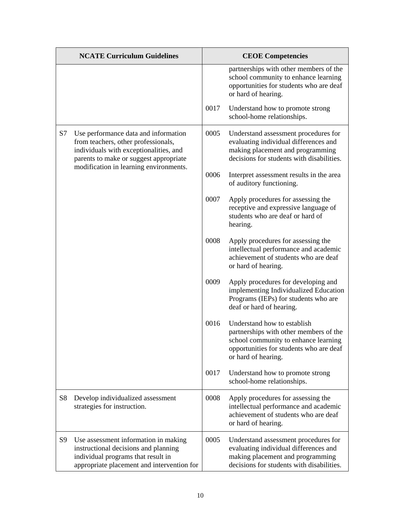|           | <b>NCATE Curriculum Guidelines</b>                                                                                                                               |      | <b>CEOE</b> Competencies                                                                                                                                                        |
|-----------|------------------------------------------------------------------------------------------------------------------------------------------------------------------|------|---------------------------------------------------------------------------------------------------------------------------------------------------------------------------------|
|           |                                                                                                                                                                  |      | partnerships with other members of the<br>school community to enhance learning<br>opportunities for students who are deaf<br>or hard of hearing.                                |
|           |                                                                                                                                                                  | 0017 | Understand how to promote strong<br>school-home relationships.                                                                                                                  |
| S7        | Use performance data and information<br>from teachers, other professionals,<br>individuals with exceptionalities, and<br>parents to make or suggest appropriate  | 0005 | Understand assessment procedures for<br>evaluating individual differences and<br>making placement and programming<br>decisions for students with disabilities.                  |
|           | modification in learning environments.                                                                                                                           | 0006 | Interpret assessment results in the area<br>of auditory functioning.                                                                                                            |
|           |                                                                                                                                                                  | 0007 | Apply procedures for assessing the<br>receptive and expressive language of<br>students who are deaf or hard of<br>hearing.                                                      |
|           |                                                                                                                                                                  | 0008 | Apply procedures for assessing the<br>intellectual performance and academic<br>achievement of students who are deaf<br>or hard of hearing.                                      |
|           |                                                                                                                                                                  | 0009 | Apply procedures for developing and<br>implementing Individualized Education<br>Programs (IEPs) for students who are<br>deaf or hard of hearing.                                |
|           |                                                                                                                                                                  | 0016 | Understand how to establish<br>partnerships with other members of the<br>school community to enhance learning<br>opportunities for students who are deaf<br>or hard of hearing. |
|           |                                                                                                                                                                  | 0017 | Understand how to promote strong<br>school-home relationships.                                                                                                                  |
| <b>S8</b> | Develop individualized assessment<br>strategies for instruction.                                                                                                 | 0008 | Apply procedures for assessing the<br>intellectual performance and academic<br>achievement of students who are deaf<br>or hard of hearing.                                      |
| S9        | Use assessment information in making<br>instructional decisions and planning<br>individual programs that result in<br>appropriate placement and intervention for | 0005 | Understand assessment procedures for<br>evaluating individual differences and<br>making placement and programming<br>decisions for students with disabilities.                  |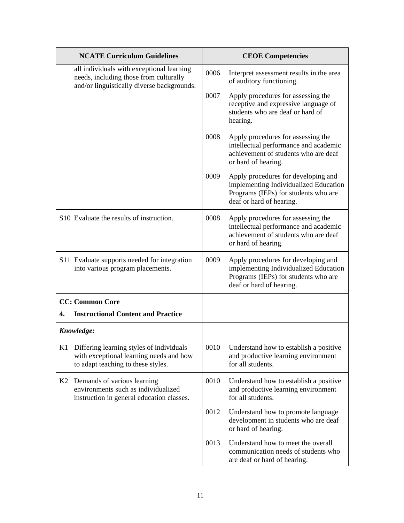|                | <b>NCATE Curriculum Guidelines</b>                                                                                                |      | <b>CEOE Competencies</b>                                                                                                                         |
|----------------|-----------------------------------------------------------------------------------------------------------------------------------|------|--------------------------------------------------------------------------------------------------------------------------------------------------|
|                | all individuals with exceptional learning<br>needs, including those from culturally<br>and/or linguistically diverse backgrounds. | 0006 | Interpret assessment results in the area<br>of auditory functioning.                                                                             |
|                |                                                                                                                                   | 0007 | Apply procedures for assessing the<br>receptive and expressive language of<br>students who are deaf or hard of<br>hearing.                       |
|                |                                                                                                                                   | 0008 | Apply procedures for assessing the<br>intellectual performance and academic<br>achievement of students who are deaf<br>or hard of hearing.       |
|                |                                                                                                                                   | 0009 | Apply procedures for developing and<br>implementing Individualized Education<br>Programs (IEPs) for students who are<br>deaf or hard of hearing. |
|                | S <sub>10</sub> Evaluate the results of instruction.                                                                              | 0008 | Apply procedures for assessing the<br>intellectual performance and academic<br>achievement of students who are deaf<br>or hard of hearing.       |
|                | S11 Evaluate supports needed for integration<br>into various program placements.                                                  | 0009 | Apply procedures for developing and<br>implementing Individualized Education<br>Programs (IEPs) for students who are<br>deaf or hard of hearing. |
|                | <b>CC: Common Core</b>                                                                                                            |      |                                                                                                                                                  |
| 4.             | <b>Instructional Content and Practice</b>                                                                                         |      |                                                                                                                                                  |
|                | Knowledge:                                                                                                                        |      |                                                                                                                                                  |
| K1             | Differing learning styles of individuals<br>with exceptional learning needs and how<br>to adapt teaching to these styles.         | 0010 | Understand how to establish a positive<br>and productive learning environment<br>for all students.                                               |
| K <sub>2</sub> | Demands of various learning<br>environments such as individualized<br>instruction in general education classes.                   | 0010 | Understand how to establish a positive<br>and productive learning environment<br>for all students.                                               |
|                |                                                                                                                                   | 0012 | Understand how to promote language<br>development in students who are deaf<br>or hard of hearing.                                                |
|                |                                                                                                                                   | 0013 | Understand how to meet the overall<br>communication needs of students who<br>are deaf or hard of hearing.                                        |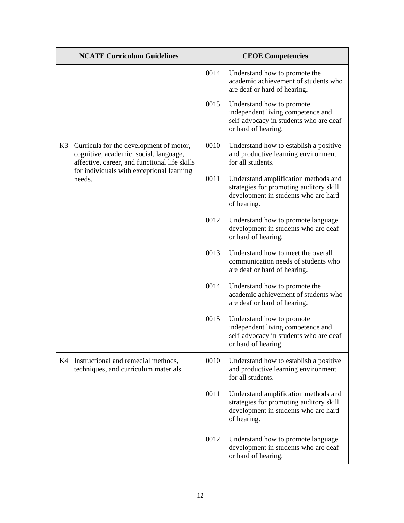|    | <b>NCATE Curriculum Guidelines</b>                                                                                                                                                        |      | <b>CEOE Competencies</b>                                                                                                               |
|----|-------------------------------------------------------------------------------------------------------------------------------------------------------------------------------------------|------|----------------------------------------------------------------------------------------------------------------------------------------|
|    |                                                                                                                                                                                           | 0014 | Understand how to promote the<br>academic achievement of students who<br>are deaf or hard of hearing.                                  |
|    |                                                                                                                                                                                           | 0015 | Understand how to promote<br>independent living competence and<br>self-advocacy in students who are deaf<br>or hard of hearing.        |
| K3 | Curricula for the development of motor,<br>cognitive, academic, social, language,<br>affective, career, and functional life skills<br>for individuals with exceptional learning<br>needs. | 0010 | Understand how to establish a positive<br>and productive learning environment<br>for all students.                                     |
|    |                                                                                                                                                                                           | 0011 | Understand amplification methods and<br>strategies for promoting auditory skill<br>development in students who are hard<br>of hearing. |
|    |                                                                                                                                                                                           | 0012 | Understand how to promote language<br>development in students who are deaf<br>or hard of hearing.                                      |
|    |                                                                                                                                                                                           | 0013 | Understand how to meet the overall<br>communication needs of students who<br>are deaf or hard of hearing.                              |
|    |                                                                                                                                                                                           | 0014 | Understand how to promote the<br>academic achievement of students who<br>are deaf or hard of hearing.                                  |
|    |                                                                                                                                                                                           | 0015 | Understand how to promote<br>independent living competence and<br>self-advocacy in students who are deaf<br>or hard of hearing.        |
| K4 | Instructional and remedial methods,<br>techniques, and curriculum materials.                                                                                                              | 0010 | Understand how to establish a positive<br>and productive learning environment<br>for all students.                                     |
|    |                                                                                                                                                                                           | 0011 | Understand amplification methods and<br>strategies for promoting auditory skill<br>development in students who are hard<br>of hearing. |
|    |                                                                                                                                                                                           | 0012 | Understand how to promote language<br>development in students who are deaf<br>or hard of hearing.                                      |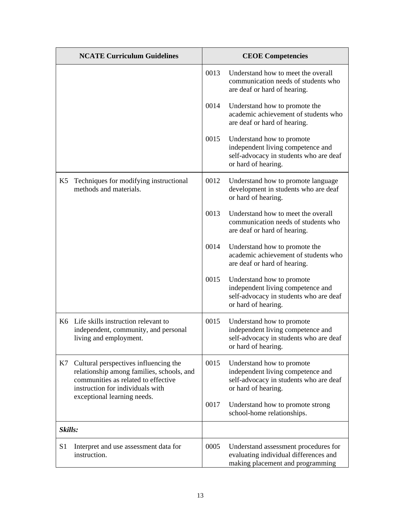|                | <b>NCATE Curriculum Guidelines</b>                                                                                                                            |      | <b>CEOE Competencies</b>                                                                                                        |
|----------------|---------------------------------------------------------------------------------------------------------------------------------------------------------------|------|---------------------------------------------------------------------------------------------------------------------------------|
|                |                                                                                                                                                               | 0013 | Understand how to meet the overall<br>communication needs of students who<br>are deaf or hard of hearing.                       |
|                |                                                                                                                                                               | 0014 | Understand how to promote the<br>academic achievement of students who<br>are deaf or hard of hearing.                           |
|                |                                                                                                                                                               | 0015 | Understand how to promote<br>independent living competence and<br>self-advocacy in students who are deaf<br>or hard of hearing. |
| K5             | Techniques for modifying instructional<br>methods and materials.                                                                                              | 0012 | Understand how to promote language<br>development in students who are deaf<br>or hard of hearing.                               |
|                |                                                                                                                                                               | 0013 | Understand how to meet the overall<br>communication needs of students who<br>are deaf or hard of hearing.                       |
|                |                                                                                                                                                               | 0014 | Understand how to promote the<br>academic achievement of students who<br>are deaf or hard of hearing.                           |
|                |                                                                                                                                                               | 0015 | Understand how to promote<br>independent living competence and<br>self-advocacy in students who are deaf<br>or hard of hearing. |
|                | K6 Life skills instruction relevant to<br>independent, community, and personal<br>living and employment.                                                      | 0015 | Understand how to promote<br>independent living competence and<br>self-advocacy in students who are deaf<br>or hard of hearing. |
| K7             | Cultural perspectives influencing the<br>relationship among families, schools, and<br>communities as related to effective<br>instruction for individuals with | 0015 | Understand how to promote<br>independent living competence and<br>self-advocacy in students who are deaf<br>or hard of hearing. |
|                | exceptional learning needs.                                                                                                                                   | 0017 | Understand how to promote strong<br>school-home relationships.                                                                  |
| Skills:        |                                                                                                                                                               |      |                                                                                                                                 |
| S <sub>1</sub> | Interpret and use assessment data for<br>instruction.                                                                                                         | 0005 | Understand assessment procedures for<br>evaluating individual differences and<br>making placement and programming               |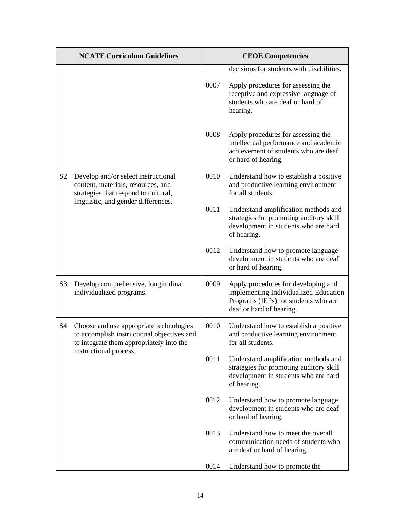| <b>NCATE Curriculum Guidelines</b> |                                                                                                                                   | <b>CEOE</b> Competencies |                                                                                                                                                                         |
|------------------------------------|-----------------------------------------------------------------------------------------------------------------------------------|--------------------------|-------------------------------------------------------------------------------------------------------------------------------------------------------------------------|
|                                    |                                                                                                                                   | 0007                     | decisions for students with disabilities.<br>Apply procedures for assessing the<br>receptive and expressive language of<br>students who are deaf or hard of<br>hearing. |
|                                    |                                                                                                                                   | 0008                     | Apply procedures for assessing the<br>intellectual performance and academic<br>achievement of students who are deaf<br>or hard of hearing.                              |
| S <sub>2</sub>                     | Develop and/or select instructional<br>content, materials, resources, and<br>strategies that respond to cultural,                 | 0010                     | Understand how to establish a positive<br>and productive learning environment<br>for all students.                                                                      |
|                                    | linguistic, and gender differences.                                                                                               | 0011                     | Understand amplification methods and<br>strategies for promoting auditory skill<br>development in students who are hard<br>of hearing.                                  |
|                                    |                                                                                                                                   | 0012                     | Understand how to promote language<br>development in students who are deaf<br>or hard of hearing.                                                                       |
| S <sub>3</sub>                     | Develop comprehensive, longitudinal<br>individualized programs.                                                                   | 0009                     | Apply procedures for developing and<br>implementing Individualized Education<br>Programs (IEPs) for students who are<br>deaf or hard of hearing.                        |
| S <sub>4</sub>                     | Choose and use appropriate technologies<br>to accomplish instructional objectives and<br>to integrate them appropriately into the | 0010                     | Understand how to establish a positive<br>and productive learning environment<br>for all students.                                                                      |
|                                    | instructional process.                                                                                                            | 0011                     | Understand amplification methods and<br>strategies for promoting auditory skill<br>development in students who are hard<br>of hearing.                                  |
|                                    |                                                                                                                                   | 0012                     | Understand how to promote language<br>development in students who are deaf<br>or hard of hearing.                                                                       |
|                                    |                                                                                                                                   | 0013                     | Understand how to meet the overall<br>communication needs of students who<br>are deaf or hard of hearing.                                                               |
|                                    |                                                                                                                                   | 0014                     | Understand how to promote the                                                                                                                                           |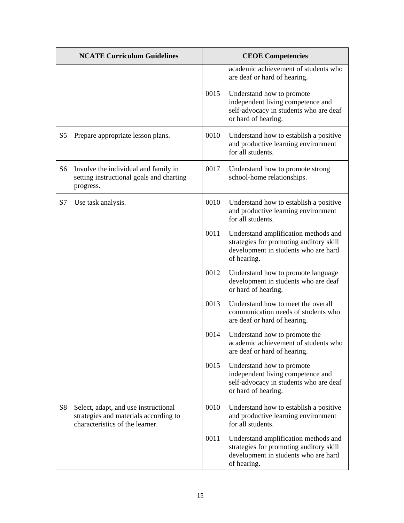|                | <b>NCATE Curriculum Guidelines</b>                                                                               |      | <b>CEOE Competencies</b>                                                                                                               |
|----------------|------------------------------------------------------------------------------------------------------------------|------|----------------------------------------------------------------------------------------------------------------------------------------|
|                |                                                                                                                  |      | academic achievement of students who<br>are deaf or hard of hearing.                                                                   |
|                |                                                                                                                  | 0015 | Understand how to promote<br>independent living competence and<br>self-advocacy in students who are deaf<br>or hard of hearing.        |
| S <sub>5</sub> | Prepare appropriate lesson plans.                                                                                | 0010 | Understand how to establish a positive<br>and productive learning environment<br>for all students.                                     |
| S <sub>6</sub> | Involve the individual and family in<br>setting instructional goals and charting<br>progress.                    | 0017 | Understand how to promote strong<br>school-home relationships.                                                                         |
| S7             | Use task analysis.                                                                                               | 0010 | Understand how to establish a positive<br>and productive learning environment<br>for all students.                                     |
|                |                                                                                                                  | 0011 | Understand amplification methods and<br>strategies for promoting auditory skill<br>development in students who are hard<br>of hearing. |
|                |                                                                                                                  | 0012 | Understand how to promote language<br>development in students who are deaf<br>or hard of hearing.                                      |
|                |                                                                                                                  | 0013 | Understand how to meet the overall<br>communication needs of students who<br>are deaf or hard of hearing.                              |
|                |                                                                                                                  | 0014 | Understand how to promote the<br>academic achievement of students who<br>are deaf or hard of hearing.                                  |
|                |                                                                                                                  | 0015 | Understand how to promote<br>independent living competence and<br>self-advocacy in students who are deaf<br>or hard of hearing.        |
| S <sub>8</sub> | Select, adapt, and use instructional<br>strategies and materials according to<br>characteristics of the learner. | 0010 | Understand how to establish a positive<br>and productive learning environment<br>for all students.                                     |
|                |                                                                                                                  | 0011 | Understand amplification methods and<br>strategies for promoting auditory skill<br>development in students who are hard<br>of hearing. |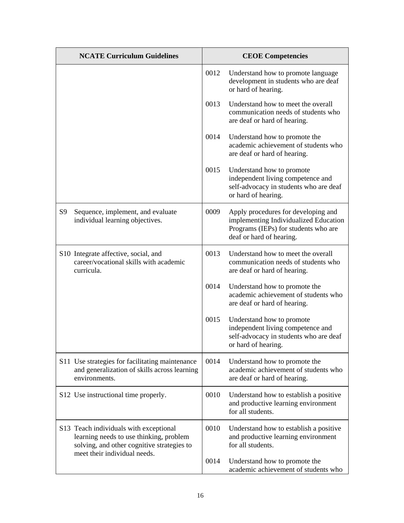| <b>NCATE Curriculum Guidelines</b>                                                                                                                              |      | <b>CEOE Competencies</b>                                                                                                                         |
|-----------------------------------------------------------------------------------------------------------------------------------------------------------------|------|--------------------------------------------------------------------------------------------------------------------------------------------------|
|                                                                                                                                                                 | 0012 | Understand how to promote language<br>development in students who are deaf<br>or hard of hearing.                                                |
|                                                                                                                                                                 | 0013 | Understand how to meet the overall<br>communication needs of students who<br>are deaf or hard of hearing.                                        |
|                                                                                                                                                                 | 0014 | Understand how to promote the<br>academic achievement of students who<br>are deaf or hard of hearing.                                            |
|                                                                                                                                                                 | 0015 | Understand how to promote<br>independent living competence and<br>self-advocacy in students who are deaf<br>or hard of hearing.                  |
| S <sub>9</sub><br>Sequence, implement, and evaluate<br>individual learning objectives.                                                                          | 0009 | Apply procedures for developing and<br>implementing Individualized Education<br>Programs (IEPs) for students who are<br>deaf or hard of hearing. |
| S10 Integrate affective, social, and<br>career/vocational skills with academic<br>curricula.                                                                    | 0013 | Understand how to meet the overall<br>communication needs of students who<br>are deaf or hard of hearing.                                        |
|                                                                                                                                                                 | 0014 | Understand how to promote the<br>academic achievement of students who<br>are deaf or hard of hearing.                                            |
|                                                                                                                                                                 | 0015 | Understand how to promote<br>independent living competence and<br>self-advocacy in students who are deaf<br>or hard of hearing.                  |
| S11 Use strategies for facilitating maintenance<br>and generalization of skills across learning<br>environments.                                                | 0014 | Understand how to promote the<br>academic achievement of students who<br>are deaf or hard of hearing.                                            |
| S12 Use instructional time properly.                                                                                                                            | 0010 | Understand how to establish a positive<br>and productive learning environment<br>for all students.                                               |
| S13 Teach individuals with exceptional<br>learning needs to use thinking, problem<br>solving, and other cognitive strategies to<br>meet their individual needs. | 0010 | Understand how to establish a positive<br>and productive learning environment<br>for all students.                                               |
|                                                                                                                                                                 | 0014 | Understand how to promote the<br>academic achievement of students who                                                                            |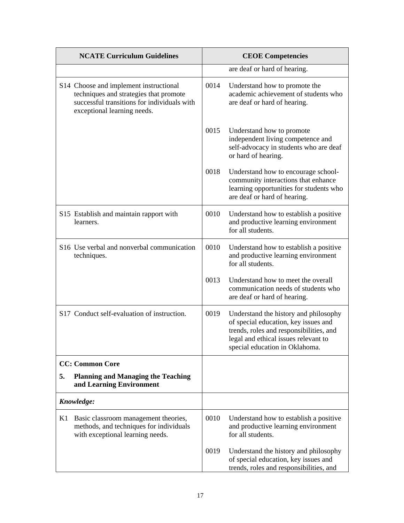|    | <b>NCATE Curriculum Guidelines</b>                                                                                                                             | <b>CEOE Competencies</b> |                                                                                                                                                                                                    |
|----|----------------------------------------------------------------------------------------------------------------------------------------------------------------|--------------------------|----------------------------------------------------------------------------------------------------------------------------------------------------------------------------------------------------|
|    |                                                                                                                                                                |                          | are deaf or hard of hearing.                                                                                                                                                                       |
|    | S14 Choose and implement instructional<br>techniques and strategies that promote<br>successful transitions for individuals with<br>exceptional learning needs. | 0014                     | Understand how to promote the<br>academic achievement of students who<br>are deaf or hard of hearing.                                                                                              |
|    |                                                                                                                                                                | 0015                     | Understand how to promote<br>independent living competence and<br>self-advocacy in students who are deaf<br>or hard of hearing.                                                                    |
|    |                                                                                                                                                                | 0018                     | Understand how to encourage school-<br>community interactions that enhance<br>learning opportunities for students who<br>are deaf or hard of hearing.                                              |
|    | S15 Establish and maintain rapport with<br>learners.                                                                                                           | 0010                     | Understand how to establish a positive<br>and productive learning environment<br>for all students.                                                                                                 |
|    | S16 Use verbal and nonverbal communication<br>techniques.                                                                                                      | 0010                     | Understand how to establish a positive<br>and productive learning environment<br>for all students.                                                                                                 |
|    |                                                                                                                                                                | 0013                     | Understand how to meet the overall<br>communication needs of students who<br>are deaf or hard of hearing.                                                                                          |
|    | S17 Conduct self-evaluation of instruction.                                                                                                                    | 0019                     | Understand the history and philosophy<br>of special education, key issues and<br>trends, roles and responsibilities, and<br>legal and ethical issues relevant to<br>special education in Oklahoma. |
|    | <b>CC: Common Core</b>                                                                                                                                         |                          |                                                                                                                                                                                                    |
| 5. | <b>Planning and Managing the Teaching</b><br>and Learning Environment                                                                                          |                          |                                                                                                                                                                                                    |
|    | Knowledge:                                                                                                                                                     |                          |                                                                                                                                                                                                    |
| K1 | Basic classroom management theories,<br>methods, and techniques for individuals<br>with exceptional learning needs.                                            | 0010                     | Understand how to establish a positive<br>and productive learning environment<br>for all students.                                                                                                 |
|    |                                                                                                                                                                | 0019                     | Understand the history and philosophy<br>of special education, key issues and<br>trends, roles and responsibilities, and                                                                           |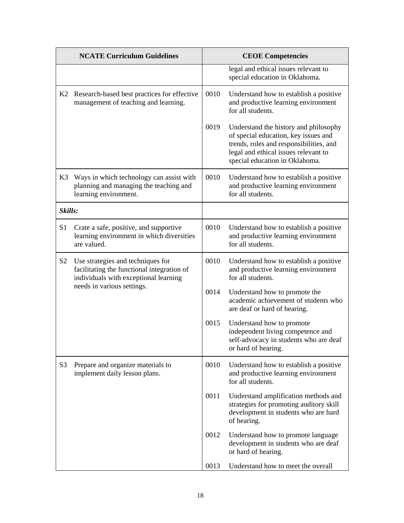|                | <b>NCATE Curriculum Guidelines</b>                                                                                       |      | <b>CEOE Competencies</b>                                                                                                                                                                           |
|----------------|--------------------------------------------------------------------------------------------------------------------------|------|----------------------------------------------------------------------------------------------------------------------------------------------------------------------------------------------------|
|                |                                                                                                                          |      | legal and ethical issues relevant to<br>special education in Oklahoma.                                                                                                                             |
|                | K2 Research-based best practices for effective<br>management of teaching and learning.                                   | 0010 | Understand how to establish a positive<br>and productive learning environment<br>for all students.                                                                                                 |
|                |                                                                                                                          | 0019 | Understand the history and philosophy<br>of special education, key issues and<br>trends, roles and responsibilities, and<br>legal and ethical issues relevant to<br>special education in Oklahoma. |
| K3             | Ways in which technology can assist with<br>planning and managing the teaching and<br>learning environment.              | 0010 | Understand how to establish a positive<br>and productive learning environment<br>for all students.                                                                                                 |
| Skills:        |                                                                                                                          |      |                                                                                                                                                                                                    |
| S <sub>1</sub> | Crate a safe, positive, and supportive<br>learning environment in which diversities<br>are valued.                       | 0010 | Understand how to establish a positive<br>and productive learning environment<br>for all students.                                                                                                 |
| S <sub>2</sub> | Use strategies and techniques for<br>facilitating the functional integration of<br>individuals with exceptional learning | 0010 | Understand how to establish a positive<br>and productive learning environment<br>for all students.                                                                                                 |
|                | needs in various settings.                                                                                               | 0014 | Understand how to promote the<br>academic achievement of students who<br>are deaf or hard of hearing.                                                                                              |
|                |                                                                                                                          | 0015 | Understand how to promote<br>independent living competence and<br>self-advocacy in students who are deaf<br>or hard of hearing.                                                                    |
| S <sub>3</sub> | Prepare and organize materials to<br>implement daily lesson plans.                                                       | 0010 | Understand how to establish a positive<br>and productive learning environment<br>for all students.                                                                                                 |
|                |                                                                                                                          | 0011 | Understand amplification methods and<br>strategies for promoting auditory skill<br>development in students who are hard<br>of hearing.                                                             |
|                |                                                                                                                          | 0012 | Understand how to promote language<br>development in students who are deaf<br>or hard of hearing.                                                                                                  |
|                |                                                                                                                          | 0013 | Understand how to meet the overall                                                                                                                                                                 |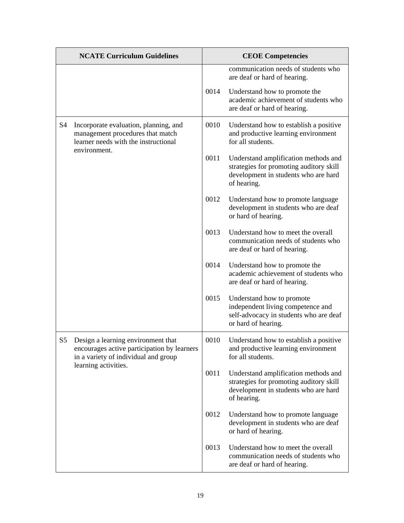| <b>NCATE Curriculum Guidelines</b> |                                                                                                                           | <b>CEOE</b> Competencies |                                                                                                                                        |
|------------------------------------|---------------------------------------------------------------------------------------------------------------------------|--------------------------|----------------------------------------------------------------------------------------------------------------------------------------|
|                                    |                                                                                                                           |                          | communication needs of students who<br>are deaf or hard of hearing.                                                                    |
|                                    |                                                                                                                           | 0014                     | Understand how to promote the<br>academic achievement of students who<br>are deaf or hard of hearing.                                  |
| S <sub>4</sub>                     | Incorporate evaluation, planning, and<br>management procedures that match<br>learner needs with the instructional         | 0010                     | Understand how to establish a positive<br>and productive learning environment<br>for all students.                                     |
|                                    | environment.                                                                                                              | 0011                     | Understand amplification methods and<br>strategies for promoting auditory skill<br>development in students who are hard<br>of hearing. |
|                                    |                                                                                                                           | 0012                     | Understand how to promote language<br>development in students who are deaf<br>or hard of hearing.                                      |
|                                    |                                                                                                                           | 0013                     | Understand how to meet the overall<br>communication needs of students who<br>are deaf or hard of hearing.                              |
|                                    |                                                                                                                           | 0014                     | Understand how to promote the<br>academic achievement of students who<br>are deaf or hard of hearing.                                  |
|                                    |                                                                                                                           | 0015                     | Understand how to promote<br>independent living competence and<br>self-advocacy in students who are deaf<br>or hard of hearing.        |
| S <sub>5</sub>                     | Design a learning environment that<br>encourages active participation by learners<br>in a variety of individual and group | 0010                     | Understand how to establish a positive<br>and productive learning environment<br>for all students.                                     |
|                                    | learning activities.                                                                                                      | 0011                     | Understand amplification methods and<br>strategies for promoting auditory skill<br>development in students who are hard<br>of hearing. |
|                                    |                                                                                                                           | 0012                     | Understand how to promote language<br>development in students who are deaf<br>or hard of hearing.                                      |
|                                    |                                                                                                                           | 0013                     | Understand how to meet the overall<br>communication needs of students who<br>are deaf or hard of hearing.                              |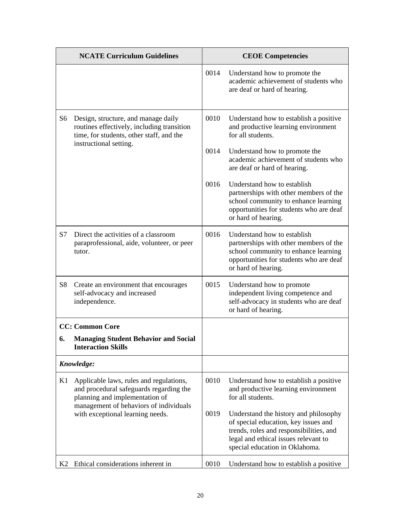| <b>NCATE Curriculum Guidelines</b> |                                                                                                                                                                |      | <b>CEOE</b> Competencies                                                                                                                                                                           |
|------------------------------------|----------------------------------------------------------------------------------------------------------------------------------------------------------------|------|----------------------------------------------------------------------------------------------------------------------------------------------------------------------------------------------------|
|                                    |                                                                                                                                                                | 0014 | Understand how to promote the<br>academic achievement of students who<br>are deaf or hard of hearing.                                                                                              |
| S <sub>6</sub>                     | Design, structure, and manage daily<br>routines effectively, including transition<br>time, for students, other staff, and the                                  | 0010 | Understand how to establish a positive<br>and productive learning environment<br>for all students.                                                                                                 |
|                                    | instructional setting.                                                                                                                                         | 0014 | Understand how to promote the<br>academic achievement of students who<br>are deaf or hard of hearing.                                                                                              |
|                                    |                                                                                                                                                                | 0016 | Understand how to establish<br>partnerships with other members of the<br>school community to enhance learning<br>opportunities for students who are deaf<br>or hard of hearing.                    |
| S7                                 | Direct the activities of a classroom<br>paraprofessional, aide, volunteer, or peer<br>tutor.                                                                   | 0016 | Understand how to establish<br>partnerships with other members of the<br>school community to enhance learning<br>opportunities for students who are deaf<br>or hard of hearing.                    |
| S <sub>8</sub>                     | Create an environment that encourages<br>self-advocacy and increased<br>independence.                                                                          | 0015 | Understand how to promote<br>independent living competence and<br>self-advocacy in students who are deaf<br>or hard of hearing.                                                                    |
|                                    | <b>CC: Common Core</b>                                                                                                                                         |      |                                                                                                                                                                                                    |
| 6.                                 | <b>Managing Student Behavior and Social</b><br><b>Interaction Skills</b>                                                                                       |      |                                                                                                                                                                                                    |
|                                    | Knowledge:                                                                                                                                                     |      |                                                                                                                                                                                                    |
| K1                                 | Applicable laws, rules and regulations,<br>and procedural safeguards regarding the<br>planning and implementation of<br>management of behaviors of individuals | 0010 | Understand how to establish a positive<br>and productive learning environment<br>for all students.                                                                                                 |
|                                    | with exceptional learning needs.                                                                                                                               | 0019 | Understand the history and philosophy<br>of special education, key issues and<br>trends, roles and responsibilities, and<br>legal and ethical issues relevant to<br>special education in Oklahoma. |
| K2                                 | Ethical considerations inherent in                                                                                                                             | 0010 | Understand how to establish a positive                                                                                                                                                             |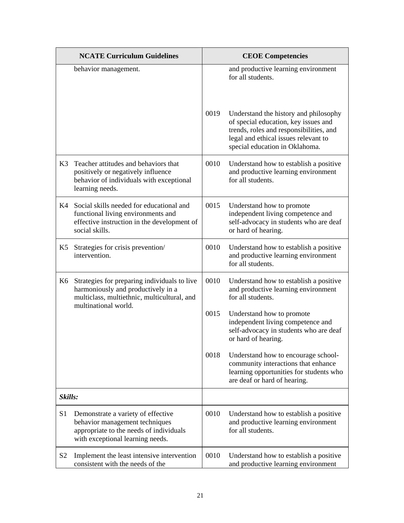|                | <b>NCATE Curriculum Guidelines</b>                                                                                                                  |      | <b>CEOE Competencies</b>                                                                                                                                                                           |
|----------------|-----------------------------------------------------------------------------------------------------------------------------------------------------|------|----------------------------------------------------------------------------------------------------------------------------------------------------------------------------------------------------|
|                | behavior management.                                                                                                                                |      | and productive learning environment<br>for all students.                                                                                                                                           |
|                |                                                                                                                                                     | 0019 | Understand the history and philosophy<br>of special education, key issues and<br>trends, roles and responsibilities, and<br>legal and ethical issues relevant to<br>special education in Oklahoma. |
| K3             | Teacher attitudes and behaviors that<br>positively or negatively influence<br>behavior of individuals with exceptional<br>learning needs.           | 0010 | Understand how to establish a positive<br>and productive learning environment<br>for all students.                                                                                                 |
| K4             | Social skills needed for educational and<br>functional living environments and<br>effective instruction in the development of<br>social skills.     | 0015 | Understand how to promote<br>independent living competence and<br>self-advocacy in students who are deaf<br>or hard of hearing.                                                                    |
| K5             | Strategies for crisis prevention/<br>intervention.                                                                                                  | 0010 | Understand how to establish a positive<br>and productive learning environment<br>for all students.                                                                                                 |
| K6             | Strategies for preparing individuals to live<br>harmoniously and productively in a<br>multiclass, multiethnic, multicultural, and                   | 0010 | Understand how to establish a positive<br>and productive learning environment<br>for all students.                                                                                                 |
|                | multinational world.                                                                                                                                | 0015 | Understand how to promote<br>independent living competence and<br>self-advocacy in students who are deaf<br>or hard of hearing.                                                                    |
|                |                                                                                                                                                     | 0018 | Understand how to encourage school-<br>community interactions that enhance<br>learning opportunities for students who<br>are deaf or hard of hearing.                                              |
| Skills:        |                                                                                                                                                     |      |                                                                                                                                                                                                    |
| S <sub>1</sub> | Demonstrate a variety of effective<br>behavior management techniques<br>appropriate to the needs of individuals<br>with exceptional learning needs. | 0010 | Understand how to establish a positive<br>and productive learning environment<br>for all students.                                                                                                 |
| S <sub>2</sub> | Implement the least intensive intervention<br>consistent with the needs of the                                                                      | 0010 | Understand how to establish a positive<br>and productive learning environment                                                                                                                      |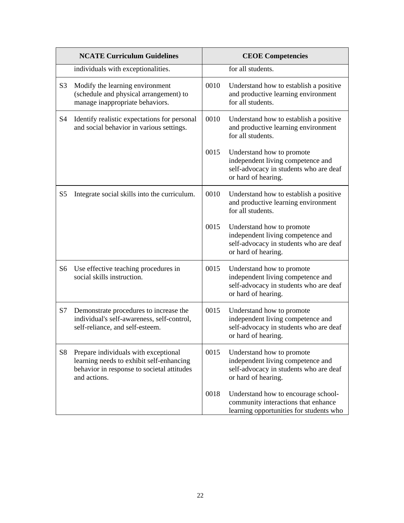| <b>NCATE Curriculum Guidelines</b> |                                                                                                                                                | <b>CEOE Competencies</b> |                                                                                                                                 |
|------------------------------------|------------------------------------------------------------------------------------------------------------------------------------------------|--------------------------|---------------------------------------------------------------------------------------------------------------------------------|
|                                    | individuals with exceptionalities.                                                                                                             |                          | for all students.                                                                                                               |
| S <sub>3</sub>                     | Modify the learning environment<br>(schedule and physical arrangement) to<br>manage inappropriate behaviors.                                   | 0010                     | Understand how to establish a positive<br>and productive learning environment<br>for all students.                              |
| S <sub>4</sub>                     | Identify realistic expectations for personal<br>and social behavior in various settings.                                                       | 0010                     | Understand how to establish a positive<br>and productive learning environment<br>for all students.                              |
|                                    |                                                                                                                                                | 0015                     | Understand how to promote<br>independent living competence and<br>self-advocacy in students who are deaf<br>or hard of hearing. |
| S <sub>5</sub>                     | Integrate social skills into the curriculum.                                                                                                   | 0010                     | Understand how to establish a positive<br>and productive learning environment<br>for all students.                              |
|                                    |                                                                                                                                                | 0015                     | Understand how to promote<br>independent living competence and<br>self-advocacy in students who are deaf<br>or hard of hearing. |
| S <sub>6</sub>                     | Use effective teaching procedures in<br>social skills instruction.                                                                             | 0015                     | Understand how to promote<br>independent living competence and<br>self-advocacy in students who are deaf<br>or hard of hearing. |
| S7                                 | Demonstrate procedures to increase the<br>individual's self-awareness, self-control,<br>self-reliance, and self-esteem.                        | 0015                     | Understand how to promote<br>independent living competence and<br>self-advocacy in students who are deaf<br>or hard of hearing. |
| S <sub>8</sub>                     | Prepare individuals with exceptional<br>learning needs to exhibit self-enhancing<br>behavior in response to societal attitudes<br>and actions. | 0015                     | Understand how to promote<br>independent living competence and<br>self-advocacy in students who are deaf<br>or hard of hearing. |
|                                    |                                                                                                                                                | 0018                     | Understand how to encourage school-<br>community interactions that enhance<br>learning opportunities for students who           |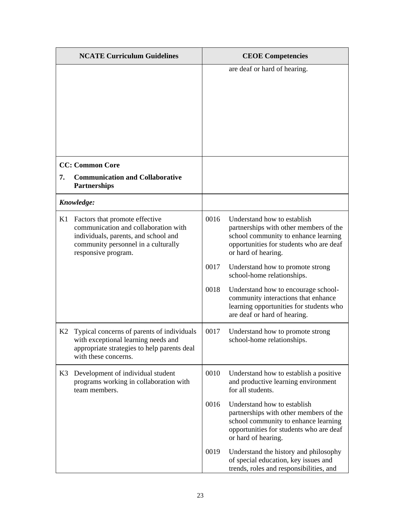|    | <b>NCATE Curriculum Guidelines</b>                                                                                                                                           |      | <b>CEOE</b> Competencies                                                                                                                                                        |
|----|------------------------------------------------------------------------------------------------------------------------------------------------------------------------------|------|---------------------------------------------------------------------------------------------------------------------------------------------------------------------------------|
|    |                                                                                                                                                                              |      | are deaf or hard of hearing.                                                                                                                                                    |
|    | <b>CC: Common Core</b>                                                                                                                                                       |      |                                                                                                                                                                                 |
| 7. | <b>Communication and Collaborative</b><br><b>Partnerships</b>                                                                                                                |      |                                                                                                                                                                                 |
|    | Knowledge:                                                                                                                                                                   |      |                                                                                                                                                                                 |
| K1 | Factors that promote effective<br>communication and collaboration with<br>individuals, parents, and school and<br>community personnel in a culturally<br>responsive program. | 0016 | Understand how to establish<br>partnerships with other members of the<br>school community to enhance learning<br>opportunities for students who are deaf<br>or hard of hearing. |
|    |                                                                                                                                                                              | 0017 | Understand how to promote strong<br>school-home relationships.                                                                                                                  |
|    |                                                                                                                                                                              | 0018 | Understand how to encourage school-<br>community interactions that enhance<br>learning opportunities for students who<br>are deaf or hard of hearing.                           |
| K2 | Typical concerns of parents of individuals<br>with exceptional learning needs and<br>appropriate strategies to help parents deal<br>with these concerns.                     | 0017 | Understand how to promote strong<br>school-home relationships.                                                                                                                  |
| K3 | Development of individual student<br>programs working in collaboration with<br>team members.                                                                                 | 0010 | Understand how to establish a positive<br>and productive learning environment<br>for all students.                                                                              |
|    |                                                                                                                                                                              | 0016 | Understand how to establish<br>partnerships with other members of the<br>school community to enhance learning<br>opportunities for students who are deaf<br>or hard of hearing. |
|    |                                                                                                                                                                              | 0019 | Understand the history and philosophy<br>of special education, key issues and<br>trends, roles and responsibilities, and                                                        |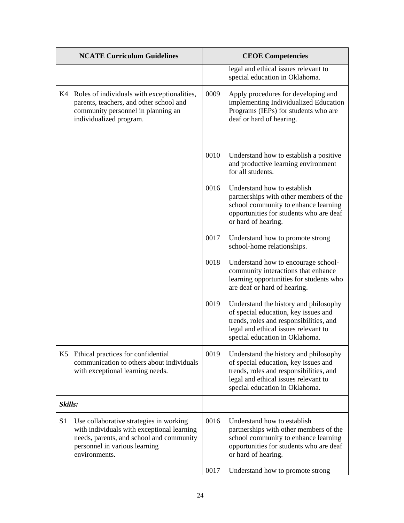|                | <b>NCATE Curriculum Guidelines</b>                                                                                                                                                  |      | <b>CEOE Competencies</b>                                                                                                                                                                           |  |
|----------------|-------------------------------------------------------------------------------------------------------------------------------------------------------------------------------------|------|----------------------------------------------------------------------------------------------------------------------------------------------------------------------------------------------------|--|
|                |                                                                                                                                                                                     |      | legal and ethical issues relevant to<br>special education in Oklahoma.                                                                                                                             |  |
| K4             | Roles of individuals with exceptionalities,<br>parents, teachers, and other school and<br>community personnel in planning an<br>individualized program.                             | 0009 | Apply procedures for developing and<br>implementing Individualized Education<br>Programs (IEPs) for students who are<br>deaf or hard of hearing.                                                   |  |
|                |                                                                                                                                                                                     | 0010 | Understand how to establish a positive<br>and productive learning environment<br>for all students.                                                                                                 |  |
|                |                                                                                                                                                                                     | 0016 | Understand how to establish<br>partnerships with other members of the<br>school community to enhance learning<br>opportunities for students who are deaf<br>or hard of hearing.                    |  |
|                |                                                                                                                                                                                     | 0017 | Understand how to promote strong<br>school-home relationships.                                                                                                                                     |  |
|                |                                                                                                                                                                                     | 0018 | Understand how to encourage school-<br>community interactions that enhance<br>learning opportunities for students who<br>are deaf or hard of hearing.                                              |  |
|                |                                                                                                                                                                                     | 0019 | Understand the history and philosophy<br>of special education, key issues and<br>trends, roles and responsibilities, and<br>legal and ethical issues relevant to<br>special education in Oklahoma. |  |
| K5             | Ethical practices for confidential<br>communication to others about individuals<br>with exceptional learning needs.                                                                 | 0019 | Understand the history and philosophy<br>of special education, key issues and<br>trends, roles and responsibilities, and<br>legal and ethical issues relevant to<br>special education in Oklahoma. |  |
| Skills:        |                                                                                                                                                                                     |      |                                                                                                                                                                                                    |  |
| S <sub>1</sub> | Use collaborative strategies in working<br>with individuals with exceptional learning<br>needs, parents, and school and community<br>personnel in various learning<br>environments. | 0016 | Understand how to establish<br>partnerships with other members of the<br>school community to enhance learning<br>opportunities for students who are deaf<br>or hard of hearing.                    |  |
|                |                                                                                                                                                                                     | 0017 | Understand how to promote strong                                                                                                                                                                   |  |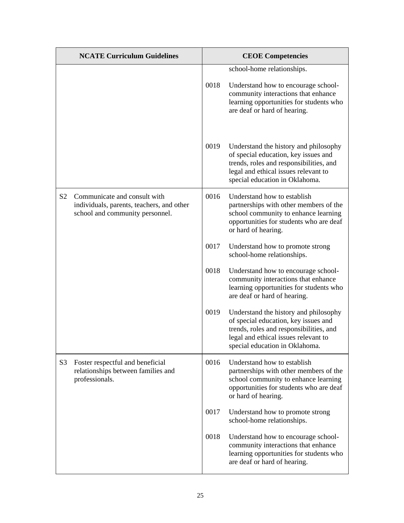|                | <b>NCATE Curriculum Guidelines</b>                                                                           |      | <b>CEOE Competencies</b>                                                                                                                                                                           |
|----------------|--------------------------------------------------------------------------------------------------------------|------|----------------------------------------------------------------------------------------------------------------------------------------------------------------------------------------------------|
|                |                                                                                                              | 0018 | school-home relationships.<br>Understand how to encourage school-<br>community interactions that enhance<br>learning opportunities for students who<br>are deaf or hard of hearing.                |
|                |                                                                                                              | 0019 | Understand the history and philosophy<br>of special education, key issues and<br>trends, roles and responsibilities, and<br>legal and ethical issues relevant to<br>special education in Oklahoma. |
| S <sub>2</sub> | Communicate and consult with<br>individuals, parents, teachers, and other<br>school and community personnel. | 0016 | Understand how to establish<br>partnerships with other members of the<br>school community to enhance learning<br>opportunities for students who are deaf<br>or hard of hearing.                    |
|                |                                                                                                              | 0017 | Understand how to promote strong<br>school-home relationships.                                                                                                                                     |
|                |                                                                                                              | 0018 | Understand how to encourage school-<br>community interactions that enhance<br>learning opportunities for students who<br>are deaf or hard of hearing.                                              |
|                |                                                                                                              | 0019 | Understand the history and philosophy<br>of special education, key issues and<br>trends, roles and responsibilities, and<br>legal and ethical issues relevant to<br>special education in Oklahoma. |
| S <sub>3</sub> | Foster respectful and beneficial<br>relationships between families and<br>professionals.                     | 0016 | Understand how to establish<br>partnerships with other members of the<br>school community to enhance learning<br>opportunities for students who are deaf<br>or hard of hearing.                    |
|                |                                                                                                              | 0017 | Understand how to promote strong<br>school-home relationships.                                                                                                                                     |
|                |                                                                                                              | 0018 | Understand how to encourage school-<br>community interactions that enhance<br>learning opportunities for students who<br>are deaf or hard of hearing.                                              |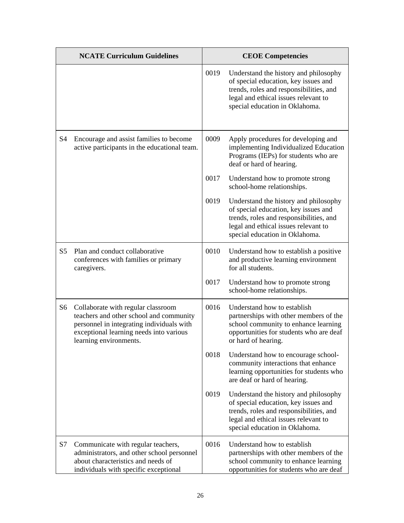|                | <b>NCATE Curriculum Guidelines</b>                                                                                                                                                              |      | <b>CEOE</b> Competencies                                                                                                                                                                           |
|----------------|-------------------------------------------------------------------------------------------------------------------------------------------------------------------------------------------------|------|----------------------------------------------------------------------------------------------------------------------------------------------------------------------------------------------------|
|                |                                                                                                                                                                                                 | 0019 | Understand the history and philosophy<br>of special education, key issues and<br>trends, roles and responsibilities, and<br>legal and ethical issues relevant to<br>special education in Oklahoma. |
| S <sub>4</sub> | Encourage and assist families to become<br>active participants in the educational team.                                                                                                         | 0009 | Apply procedures for developing and<br>implementing Individualized Education<br>Programs (IEPs) for students who are<br>deaf or hard of hearing.                                                   |
|                |                                                                                                                                                                                                 | 0017 | Understand how to promote strong<br>school-home relationships.                                                                                                                                     |
|                |                                                                                                                                                                                                 | 0019 | Understand the history and philosophy<br>of special education, key issues and<br>trends, roles and responsibilities, and<br>legal and ethical issues relevant to<br>special education in Oklahoma. |
| S <sub>5</sub> | Plan and conduct collaborative<br>conferences with families or primary<br>caregivers.                                                                                                           | 0010 | Understand how to establish a positive<br>and productive learning environment<br>for all students.                                                                                                 |
|                |                                                                                                                                                                                                 | 0017 | Understand how to promote strong<br>school-home relationships.                                                                                                                                     |
| S <sub>6</sub> | Collaborate with regular classroom<br>teachers and other school and community<br>personnel in integrating individuals with<br>exceptional learning needs into various<br>learning environments. | 0016 | Understand how to establish<br>partnerships with other members of the<br>school community to enhance learning<br>opportunities for students who are deaf<br>or hard of hearing.                    |
|                |                                                                                                                                                                                                 | 0018 | Understand how to encourage school-<br>community interactions that enhance<br>learning opportunities for students who<br>are deaf or hard of hearing.                                              |
|                |                                                                                                                                                                                                 | 0019 | Understand the history and philosophy<br>of special education, key issues and<br>trends, roles and responsibilities, and<br>legal and ethical issues relevant to<br>special education in Oklahoma. |
| S7             | Communicate with regular teachers,<br>administrators, and other school personnel<br>about characteristics and needs of<br>individuals with specific exceptional                                 | 0016 | Understand how to establish<br>partnerships with other members of the<br>school community to enhance learning<br>opportunities for students who are deaf                                           |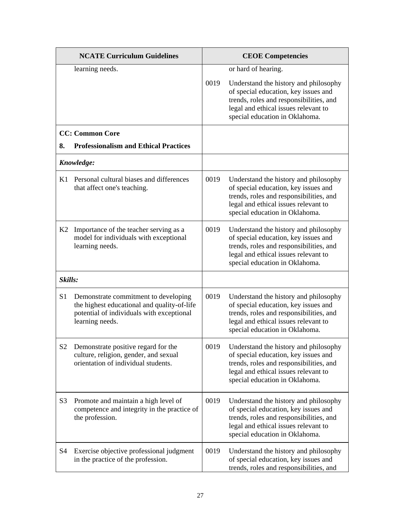| <b>NCATE Curriculum Guidelines</b> |                                                                                                                                                     | <b>CEOE Competencies</b> |                                                                                                                                                                                                    |
|------------------------------------|-----------------------------------------------------------------------------------------------------------------------------------------------------|--------------------------|----------------------------------------------------------------------------------------------------------------------------------------------------------------------------------------------------|
|                                    | learning needs.                                                                                                                                     |                          | or hard of hearing.                                                                                                                                                                                |
|                                    |                                                                                                                                                     | 0019                     | Understand the history and philosophy<br>of special education, key issues and<br>trends, roles and responsibilities, and<br>legal and ethical issues relevant to<br>special education in Oklahoma. |
|                                    | <b>CC: Common Core</b>                                                                                                                              |                          |                                                                                                                                                                                                    |
| 8.                                 | <b>Professionalism and Ethical Practices</b>                                                                                                        |                          |                                                                                                                                                                                                    |
|                                    | Knowledge:                                                                                                                                          |                          |                                                                                                                                                                                                    |
| K1                                 | Personal cultural biases and differences<br>that affect one's teaching.                                                                             | 0019                     | Understand the history and philosophy<br>of special education, key issues and<br>trends, roles and responsibilities, and<br>legal and ethical issues relevant to<br>special education in Oklahoma. |
| K2                                 | Importance of the teacher serving as a<br>model for individuals with exceptional<br>learning needs.                                                 | 0019                     | Understand the history and philosophy<br>of special education, key issues and<br>trends, roles and responsibilities, and<br>legal and ethical issues relevant to<br>special education in Oklahoma. |
| Skills:                            |                                                                                                                                                     |                          |                                                                                                                                                                                                    |
| S <sub>1</sub>                     | Demonstrate commitment to developing<br>the highest educational and quality-of-life<br>potential of individuals with exceptional<br>learning needs. | 0019                     | Understand the history and philosophy<br>of special education, key issues and<br>trends, roles and responsibilities, and<br>legal and ethical issues relevant to<br>special education in Oklahoma. |
| S <sub>2</sub>                     | Demonstrate positive regard for the<br>culture, religion, gender, and sexual<br>orientation of individual students.                                 | 0019                     | Understand the history and philosophy<br>of special education, key issues and<br>trends, roles and responsibilities, and<br>legal and ethical issues relevant to<br>special education in Oklahoma. |
| S <sub>3</sub>                     | Promote and maintain a high level of<br>competence and integrity in the practice of<br>the profession.                                              | 0019                     | Understand the history and philosophy<br>of special education, key issues and<br>trends, roles and responsibilities, and<br>legal and ethical issues relevant to<br>special education in Oklahoma. |
| S4                                 | Exercise objective professional judgment<br>in the practice of the profession.                                                                      | 0019                     | Understand the history and philosophy<br>of special education, key issues and<br>trends, roles and responsibilities, and                                                                           |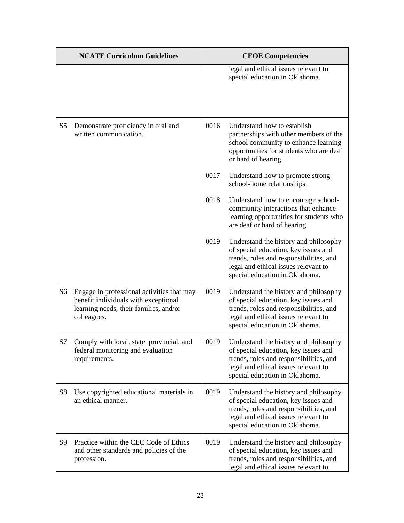|                | <b>NCATE Curriculum Guidelines</b>                                                                                                          |      | <b>CEOE Competencies</b>                                                                                                                                                                           |
|----------------|---------------------------------------------------------------------------------------------------------------------------------------------|------|----------------------------------------------------------------------------------------------------------------------------------------------------------------------------------------------------|
|                |                                                                                                                                             |      | legal and ethical issues relevant to<br>special education in Oklahoma.                                                                                                                             |
| S <sub>5</sub> | Demonstrate proficiency in oral and<br>written communication.                                                                               | 0016 | Understand how to establish<br>partnerships with other members of the<br>school community to enhance learning<br>opportunities for students who are deaf<br>or hard of hearing.                    |
|                |                                                                                                                                             | 0017 | Understand how to promote strong<br>school-home relationships.                                                                                                                                     |
|                |                                                                                                                                             | 0018 | Understand how to encourage school-<br>community interactions that enhance<br>learning opportunities for students who<br>are deaf or hard of hearing.                                              |
|                |                                                                                                                                             | 0019 | Understand the history and philosophy<br>of special education, key issues and<br>trends, roles and responsibilities, and<br>legal and ethical issues relevant to<br>special education in Oklahoma. |
| S <sub>6</sub> | Engage in professional activities that may<br>benefit individuals with exceptional<br>learning needs, their families, and/or<br>colleagues. | 0019 | Understand the history and philosophy<br>of special education, key issues and<br>trends, roles and responsibilities, and<br>legal and ethical issues relevant to<br>special education in Oklahoma. |
| S7             | Comply with local, state, provincial, and<br>federal monitoring and evaluation<br>requirements.                                             | 0019 | Understand the history and philosophy<br>of special education, key issues and<br>trends, roles and responsibilities, and<br>legal and ethical issues relevant to<br>special education in Oklahoma. |
| S <sub>8</sub> | Use copyrighted educational materials in<br>an ethical manner.                                                                              | 0019 | Understand the history and philosophy<br>of special education, key issues and<br>trends, roles and responsibilities, and<br>legal and ethical issues relevant to<br>special education in Oklahoma. |
| S <sub>9</sub> | Practice within the CEC Code of Ethics<br>and other standards and policies of the<br>profession.                                            | 0019 | Understand the history and philosophy<br>of special education, key issues and<br>trends, roles and responsibilities, and<br>legal and ethical issues relevant to                                   |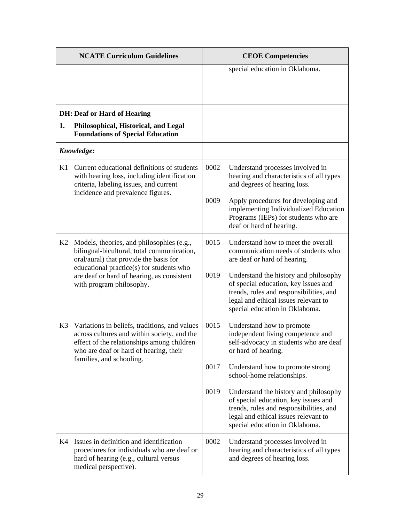| <b>NCATE Curriculum Guidelines</b> |                                                                                                                                                                                                                  |      | <b>CEOE Competencies</b>                                                                                                                                                                           |
|------------------------------------|------------------------------------------------------------------------------------------------------------------------------------------------------------------------------------------------------------------|------|----------------------------------------------------------------------------------------------------------------------------------------------------------------------------------------------------|
|                                    |                                                                                                                                                                                                                  |      | special education in Oklahoma.                                                                                                                                                                     |
|                                    | <b>DH: Deaf or Hard of Hearing</b>                                                                                                                                                                               |      |                                                                                                                                                                                                    |
| 1.                                 | Philosophical, Historical, and Legal<br><b>Foundations of Special Education</b>                                                                                                                                  |      |                                                                                                                                                                                                    |
|                                    | Knowledge:                                                                                                                                                                                                       |      |                                                                                                                                                                                                    |
| K1                                 | Current educational definitions of students<br>with hearing loss, including identification<br>criteria, labeling issues, and current<br>incidence and prevalence figures.                                        | 0002 | Understand processes involved in<br>hearing and characteristics of all types<br>and degrees of hearing loss.                                                                                       |
|                                    |                                                                                                                                                                                                                  | 0009 | Apply procedures for developing and<br>implementing Individualized Education<br>Programs (IEPs) for students who are<br>deaf or hard of hearing.                                                   |
| K <sub>2</sub>                     | Models, theories, and philosophies (e.g.,<br>bilingual-bicultural, total communication,<br>oral/aural) that provide the basis for<br>educational practice(s) for students who                                    | 0015 | Understand how to meet the overall<br>communication needs of students who<br>are deaf or hard of hearing.                                                                                          |
|                                    | are deaf or hard of hearing, as consistent<br>with program philosophy.                                                                                                                                           | 0019 | Understand the history and philosophy<br>of special education, key issues and<br>trends, roles and responsibilities, and<br>legal and ethical issues relevant to<br>special education in Oklahoma. |
| K3                                 | Variations in beliefs, traditions, and values<br>across cultures and within society, and the<br>effect of the relationships among children<br>who are deaf or hard of hearing, their<br>families, and schooling. | 0015 | Understand how to promote<br>independent living competence and<br>self-advocacy in students who are deaf<br>or hard of hearing.                                                                    |
|                                    |                                                                                                                                                                                                                  | 0017 | Understand how to promote strong<br>school-home relationships.                                                                                                                                     |
|                                    |                                                                                                                                                                                                                  | 0019 | Understand the history and philosophy<br>of special education, key issues and<br>trends, roles and responsibilities, and<br>legal and ethical issues relevant to<br>special education in Oklahoma. |
| K4                                 | Issues in definition and identification<br>procedures for individuals who are deaf or<br>hard of hearing (e.g., cultural versus<br>medical perspective).                                                         | 0002 | Understand processes involved in<br>hearing and characteristics of all types<br>and degrees of hearing loss.                                                                                       |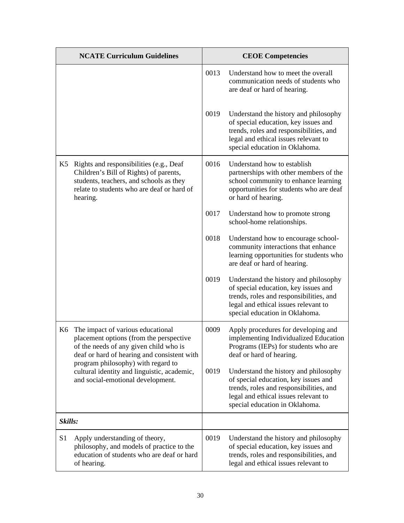|                | <b>NCATE Curriculum Guidelines</b>                                                                                                                                                     |      | <b>CEOE Competencies</b>                                                                                                                                                                           |
|----------------|----------------------------------------------------------------------------------------------------------------------------------------------------------------------------------------|------|----------------------------------------------------------------------------------------------------------------------------------------------------------------------------------------------------|
|                |                                                                                                                                                                                        | 0013 | Understand how to meet the overall<br>communication needs of students who<br>are deaf or hard of hearing.                                                                                          |
|                |                                                                                                                                                                                        | 0019 | Understand the history and philosophy<br>of special education, key issues and<br>trends, roles and responsibilities, and<br>legal and ethical issues relevant to<br>special education in Oklahoma. |
| K5             | Rights and responsibilities (e.g., Deaf<br>Children's Bill of Rights) of parents,<br>students, teachers, and schools as they<br>relate to students who are deaf or hard of<br>hearing. | 0016 | Understand how to establish<br>partnerships with other members of the<br>school community to enhance learning<br>opportunities for students who are deaf<br>or hard of hearing.                    |
|                |                                                                                                                                                                                        | 0017 | Understand how to promote strong<br>school-home relationships.                                                                                                                                     |
|                |                                                                                                                                                                                        | 0018 | Understand how to encourage school-<br>community interactions that enhance<br>learning opportunities for students who<br>are deaf or hard of hearing.                                              |
|                |                                                                                                                                                                                        | 0019 | Understand the history and philosophy<br>of special education, key issues and<br>trends, roles and responsibilities, and<br>legal and ethical issues relevant to<br>special education in Oklahoma. |
| K6             | The impact of various educational<br>placement options (from the perspective<br>of the needs of any given child who is<br>deaf or hard of hearing and consistent with                  | 0009 | Apply procedures for developing and<br>implementing Individualized Education<br>Programs (IEPs) for students who are<br>deaf or hard of hearing.                                                   |
|                | program philosophy) with regard to<br>cultural identity and linguistic, academic,<br>and social-emotional development.                                                                 | 0019 | Understand the history and philosophy<br>of special education, key issues and<br>trends, roles and responsibilities, and<br>legal and ethical issues relevant to<br>special education in Oklahoma. |
| Skills:        |                                                                                                                                                                                        |      |                                                                                                                                                                                                    |
| S <sub>1</sub> | Apply understanding of theory,<br>philosophy, and models of practice to the<br>education of students who are deaf or hard<br>of hearing.                                               | 0019 | Understand the history and philosophy<br>of special education, key issues and<br>trends, roles and responsibilities, and<br>legal and ethical issues relevant to                                   |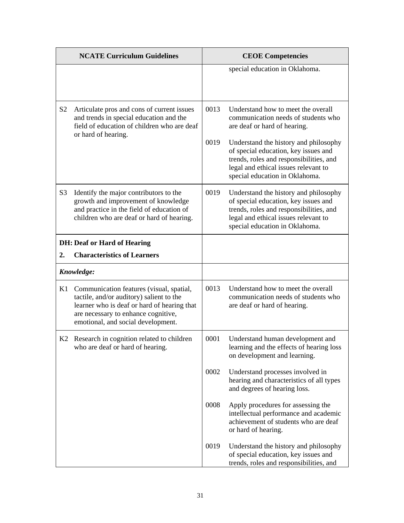|                | <b>NCATE Curriculum Guidelines</b>                                                                                                                                                                               |              | <b>CEOE Competencies</b>                                                                                                                                                                                                                                                                                        |
|----------------|------------------------------------------------------------------------------------------------------------------------------------------------------------------------------------------------------------------|--------------|-----------------------------------------------------------------------------------------------------------------------------------------------------------------------------------------------------------------------------------------------------------------------------------------------------------------|
|                |                                                                                                                                                                                                                  |              | special education in Oklahoma.                                                                                                                                                                                                                                                                                  |
| S <sub>2</sub> | Articulate pros and cons of current issues<br>and trends in special education and the<br>field of education of children who are deaf<br>or hard of hearing.                                                      | 0013<br>0019 | Understand how to meet the overall<br>communication needs of students who<br>are deaf or hard of hearing.<br>Understand the history and philosophy<br>of special education, key issues and<br>trends, roles and responsibilities, and<br>legal and ethical issues relevant to<br>special education in Oklahoma. |
| S <sub>3</sub> | Identify the major contributors to the<br>growth and improvement of knowledge<br>and practice in the field of education of<br>children who are deaf or hard of hearing.                                          | 0019         | Understand the history and philosophy<br>of special education, key issues and<br>trends, roles and responsibilities, and<br>legal and ethical issues relevant to<br>special education in Oklahoma.                                                                                                              |
|                | <b>DH: Deaf or Hard of Hearing</b>                                                                                                                                                                               |              |                                                                                                                                                                                                                                                                                                                 |
| 2.             | <b>Characteristics of Learners</b>                                                                                                                                                                               |              |                                                                                                                                                                                                                                                                                                                 |
|                | Knowledge:                                                                                                                                                                                                       |              |                                                                                                                                                                                                                                                                                                                 |
| K1             | Communication features (visual, spatial,<br>tactile, and/or auditory) salient to the<br>learner who is deaf or hard of hearing that<br>are necessary to enhance cognitive,<br>emotional, and social development. | 0013         | Understand how to meet the overall<br>communication needs of students who<br>are deaf or hard of hearing.                                                                                                                                                                                                       |
|                | K2 Research in cognition related to children<br>who are deaf or hard of hearing.                                                                                                                                 | 0001         | Understand human development and<br>learning and the effects of hearing loss<br>on development and learning.                                                                                                                                                                                                    |
|                |                                                                                                                                                                                                                  | 0002         | Understand processes involved in<br>hearing and characteristics of all types<br>and degrees of hearing loss.                                                                                                                                                                                                    |
|                |                                                                                                                                                                                                                  | 0008         | Apply procedures for assessing the<br>intellectual performance and academic<br>achievement of students who are deaf<br>or hard of hearing.                                                                                                                                                                      |
|                |                                                                                                                                                                                                                  | 0019         | Understand the history and philosophy<br>of special education, key issues and<br>trends, roles and responsibilities, and                                                                                                                                                                                        |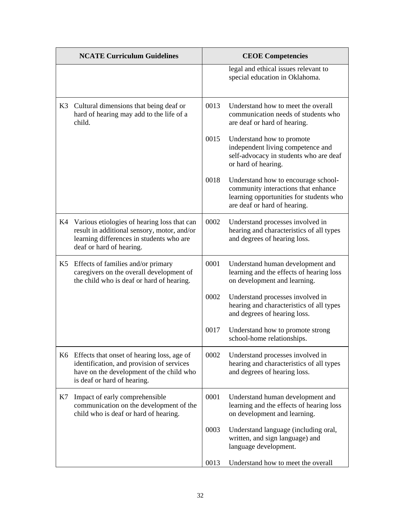|    | <b>NCATE Curriculum Guidelines</b>                                                                                                                                    |      | <b>CEOE Competencies</b>                                                                                                                              |  |
|----|-----------------------------------------------------------------------------------------------------------------------------------------------------------------------|------|-------------------------------------------------------------------------------------------------------------------------------------------------------|--|
|    |                                                                                                                                                                       |      | legal and ethical issues relevant to<br>special education in Oklahoma.                                                                                |  |
| K3 | Cultural dimensions that being deaf or<br>hard of hearing may add to the life of a<br>child.                                                                          | 0013 | Understand how to meet the overall<br>communication needs of students who<br>are deaf or hard of hearing.                                             |  |
|    |                                                                                                                                                                       | 0015 | Understand how to promote<br>independent living competence and<br>self-advocacy in students who are deaf<br>or hard of hearing.                       |  |
|    |                                                                                                                                                                       | 0018 | Understand how to encourage school-<br>community interactions that enhance<br>learning opportunities for students who<br>are deaf or hard of hearing. |  |
|    | K4 Various etiologies of hearing loss that can<br>result in additional sensory, motor, and/or<br>learning differences in students who are<br>deaf or hard of hearing. | 0002 | Understand processes involved in<br>hearing and characteristics of all types<br>and degrees of hearing loss.                                          |  |
| K5 | Effects of families and/or primary<br>caregivers on the overall development of<br>the child who is deaf or hard of hearing.                                           | 0001 | Understand human development and<br>learning and the effects of hearing loss<br>on development and learning.                                          |  |
|    |                                                                                                                                                                       | 0002 | Understand processes involved in<br>hearing and characteristics of all types<br>and degrees of hearing loss.                                          |  |
|    |                                                                                                                                                                       | 0017 | Understand how to promote strong<br>school-home relationships.                                                                                        |  |
|    | K6 Effects that onset of hearing loss, age of<br>identification, and provision of services<br>have on the development of the child who<br>is deaf or hard of hearing. | 0002 | Understand processes involved in<br>hearing and characteristics of all types<br>and degrees of hearing loss.                                          |  |
| K7 | Impact of early comprehensible<br>communication on the development of the<br>child who is deaf or hard of hearing.                                                    | 0001 | Understand human development and<br>learning and the effects of hearing loss<br>on development and learning.                                          |  |
|    |                                                                                                                                                                       | 0003 | Understand language (including oral,<br>written, and sign language) and<br>language development.                                                      |  |
|    |                                                                                                                                                                       | 0013 | Understand how to meet the overall                                                                                                                    |  |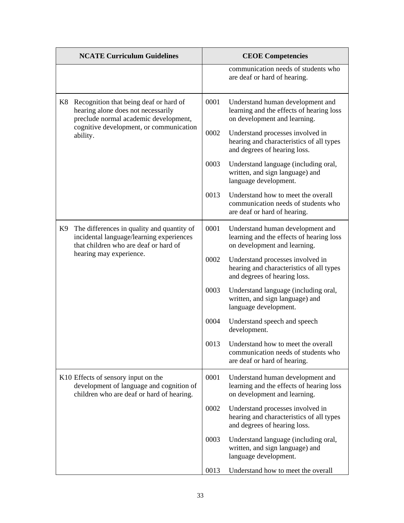|    | <b>NCATE Curriculum Guidelines</b>                                                                                                                                           |      | <b>CEOE Competencies</b>                                                                                     |
|----|------------------------------------------------------------------------------------------------------------------------------------------------------------------------------|------|--------------------------------------------------------------------------------------------------------------|
|    |                                                                                                                                                                              |      | communication needs of students who<br>are deaf or hard of hearing.                                          |
| K8 | Recognition that being deaf or hard of<br>hearing alone does not necessarily<br>preclude normal academic development,<br>cognitive development, or communication<br>ability. | 0001 | Understand human development and<br>learning and the effects of hearing loss<br>on development and learning. |
|    |                                                                                                                                                                              | 0002 | Understand processes involved in<br>hearing and characteristics of all types<br>and degrees of hearing loss. |
|    |                                                                                                                                                                              | 0003 | Understand language (including oral,<br>written, and sign language) and<br>language development.             |
|    |                                                                                                                                                                              | 0013 | Understand how to meet the overall<br>communication needs of students who<br>are deaf or hard of hearing.    |
| K9 | The differences in quality and quantity of<br>incidental language/learning experiences<br>that children who are deaf or hard of                                              | 0001 | Understand human development and<br>learning and the effects of hearing loss<br>on development and learning. |
|    | hearing may experience.                                                                                                                                                      | 0002 | Understand processes involved in<br>hearing and characteristics of all types<br>and degrees of hearing loss. |
|    |                                                                                                                                                                              | 0003 | Understand language (including oral,<br>written, and sign language) and<br>language development.             |
|    |                                                                                                                                                                              | 0004 | Understand speech and speech<br>development.                                                                 |
|    |                                                                                                                                                                              | 0013 | Understand how to meet the overall<br>communication needs of students who<br>are deaf or hard of hearing.    |
|    | K10 Effects of sensory input on the<br>development of language and cognition of<br>children who are deaf or hard of hearing.                                                 | 0001 | Understand human development and<br>learning and the effects of hearing loss<br>on development and learning. |
|    |                                                                                                                                                                              | 0002 | Understand processes involved in<br>hearing and characteristics of all types<br>and degrees of hearing loss. |
|    |                                                                                                                                                                              | 0003 | Understand language (including oral,<br>written, and sign language) and<br>language development.             |
|    |                                                                                                                                                                              | 0013 | Understand how to meet the overall                                                                           |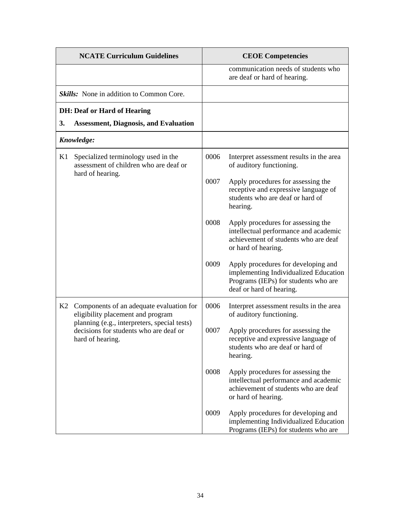| <b>NCATE Curriculum Guidelines</b> |                                                                                                                                                                                             | <b>CEOE Competencies</b> |                                                                                                                                                  |
|------------------------------------|---------------------------------------------------------------------------------------------------------------------------------------------------------------------------------------------|--------------------------|--------------------------------------------------------------------------------------------------------------------------------------------------|
|                                    |                                                                                                                                                                                             |                          | communication needs of students who<br>are deaf or hard of hearing.                                                                              |
|                                    | <b>Skills:</b> None in addition to Common Core.                                                                                                                                             |                          |                                                                                                                                                  |
|                                    | <b>DH: Deaf or Hard of Hearing</b>                                                                                                                                                          |                          |                                                                                                                                                  |
| 3.                                 | <b>Assessment, Diagnosis, and Evaluation</b>                                                                                                                                                |                          |                                                                                                                                                  |
| Knowledge:                         |                                                                                                                                                                                             |                          |                                                                                                                                                  |
| K1                                 | Specialized terminology used in the<br>assessment of children who are deaf or<br>hard of hearing.                                                                                           | 0006                     | Interpret assessment results in the area<br>of auditory functioning.                                                                             |
|                                    |                                                                                                                                                                                             | 0007                     | Apply procedures for assessing the<br>receptive and expressive language of<br>students who are deaf or hard of<br>hearing.                       |
|                                    |                                                                                                                                                                                             | 0008                     | Apply procedures for assessing the<br>intellectual performance and academic<br>achievement of students who are deaf<br>or hard of hearing.       |
|                                    |                                                                                                                                                                                             | 0009                     | Apply procedures for developing and<br>implementing Individualized Education<br>Programs (IEPs) for students who are<br>deaf or hard of hearing. |
| K2                                 | Components of an adequate evaluation for<br>eligibility placement and program<br>planning (e.g., interpreters, special tests)<br>decisions for students who are deaf or<br>hard of hearing. | 0006                     | Interpret assessment results in the area<br>of auditory functioning.                                                                             |
|                                    |                                                                                                                                                                                             | 0007                     | Apply procedures for assessing the<br>receptive and expressive language of<br>students who are deaf or hard of<br>hearing.                       |
|                                    |                                                                                                                                                                                             | 0008                     | Apply procedures for assessing the<br>intellectual performance and academic<br>achievement of students who are deaf<br>or hard of hearing.       |
|                                    |                                                                                                                                                                                             | 0009                     | Apply procedures for developing and<br>implementing Individualized Education<br>Programs (IEPs) for students who are                             |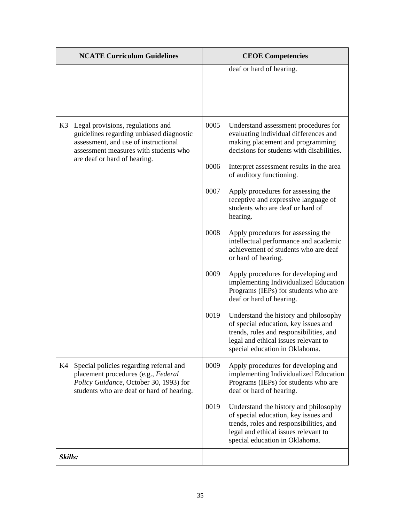| <b>NCATE Curriculum Guidelines</b> |                                                                                                                                                                                                | <b>CEOE Competencies</b> |                                                                                                                                                                                                    |
|------------------------------------|------------------------------------------------------------------------------------------------------------------------------------------------------------------------------------------------|--------------------------|----------------------------------------------------------------------------------------------------------------------------------------------------------------------------------------------------|
|                                    |                                                                                                                                                                                                |                          | deaf or hard of hearing.                                                                                                                                                                           |
| K3                                 | Legal provisions, regulations and<br>guidelines regarding unbiased diagnostic<br>assessment, and use of instructional<br>assessment measures with students who<br>are deaf or hard of hearing. | 0005                     | Understand assessment procedures for<br>evaluating individual differences and<br>making placement and programming<br>decisions for students with disabilities.                                     |
|                                    |                                                                                                                                                                                                | 0006                     | Interpret assessment results in the area<br>of auditory functioning.                                                                                                                               |
|                                    |                                                                                                                                                                                                | 0007                     | Apply procedures for assessing the<br>receptive and expressive language of<br>students who are deaf or hard of<br>hearing.                                                                         |
|                                    |                                                                                                                                                                                                | 0008                     | Apply procedures for assessing the<br>intellectual performance and academic<br>achievement of students who are deaf<br>or hard of hearing.                                                         |
|                                    |                                                                                                                                                                                                | 0009                     | Apply procedures for developing and<br>implementing Individualized Education<br>Programs (IEPs) for students who are<br>deaf or hard of hearing.                                                   |
|                                    |                                                                                                                                                                                                | 0019                     | Understand the history and philosophy<br>of special education, key issues and<br>trends, roles and responsibilities, and<br>legal and ethical issues relevant to<br>special education in Oklahoma. |
| K4                                 | Special policies regarding referral and<br>placement procedures (e.g., Federal<br>Policy Guidance, October 30, 1993) for<br>students who are deaf or hard of hearing.                          | 0009                     | Apply procedures for developing and<br>implementing Individualized Education<br>Programs (IEPs) for students who are<br>deaf or hard of hearing.                                                   |
|                                    |                                                                                                                                                                                                | 0019                     | Understand the history and philosophy<br>of special education, key issues and<br>trends, roles and responsibilities, and<br>legal and ethical issues relevant to<br>special education in Oklahoma. |
| Skills:                            |                                                                                                                                                                                                |                          |                                                                                                                                                                                                    |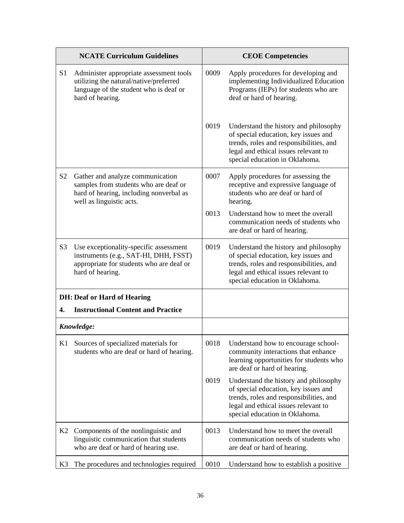|                | <b>NCATE Curriculum Guidelines</b>                                                                                                               |      | <b>CEOE Competencies</b>                                                                                                                                                                           |
|----------------|--------------------------------------------------------------------------------------------------------------------------------------------------|------|----------------------------------------------------------------------------------------------------------------------------------------------------------------------------------------------------|
| S <sub>1</sub> | Administer appropriate assessment tools<br>utilizing the natural/native/preferred<br>language of the student who is deaf or<br>hard of hearing.  | 0009 | Apply procedures for developing and<br>implementing Individualized Education<br>Programs (IEPs) for students who are<br>deaf or hard of hearing.                                                   |
|                |                                                                                                                                                  | 0019 | Understand the history and philosophy<br>of special education, key issues and<br>trends, roles and responsibilities, and<br>legal and ethical issues relevant to<br>special education in Oklahoma. |
| S <sub>2</sub> | Gather and analyze communication<br>samples from students who are deaf or<br>hard of hearing, including nonverbal as<br>well as linguistic acts. | 0007 | Apply procedures for assessing the<br>receptive and expressive language of<br>students who are deaf or hard of<br>hearing.                                                                         |
|                |                                                                                                                                                  | 0013 | Understand how to meet the overall<br>communication needs of students who<br>are deaf or hard of hearing.                                                                                          |
| S <sub>3</sub> | Use exceptionality-specific assessment<br>instruments (e.g., SAT-HI, DHH, FSST)<br>appropriate for students who are deaf or<br>hard of hearing.  | 0019 | Understand the history and philosophy<br>of special education, key issues and<br>trends, roles and responsibilities, and<br>legal and ethical issues relevant to<br>special education in Oklahoma. |
|                | <b>DH: Deaf or Hard of Hearing</b>                                                                                                               |      |                                                                                                                                                                                                    |
| 4.             | <b>Instructional Content and Practice</b>                                                                                                        |      |                                                                                                                                                                                                    |
|                | Knowledge:                                                                                                                                       |      |                                                                                                                                                                                                    |
|                | K1 Sources of specialized materials for<br>students who are deaf or hard of hearing.                                                             | 0018 | Understand how to encourage school-<br>community interactions that enhance<br>learning opportunities for students who<br>are deaf or hard of hearing.                                              |
|                |                                                                                                                                                  | 0019 | Understand the history and philosophy<br>of special education, key issues and<br>trends, roles and responsibilities, and<br>legal and ethical issues relevant to<br>special education in Oklahoma. |
| K2             | Components of the nonlinguistic and<br>linguistic communication that students<br>who are deaf or hard of hearing use.                            | 0013 | Understand how to meet the overall<br>communication needs of students who<br>are deaf or hard of hearing.                                                                                          |
| K <sub>3</sub> | The procedures and technologies required                                                                                                         | 0010 | Understand how to establish a positive                                                                                                                                                             |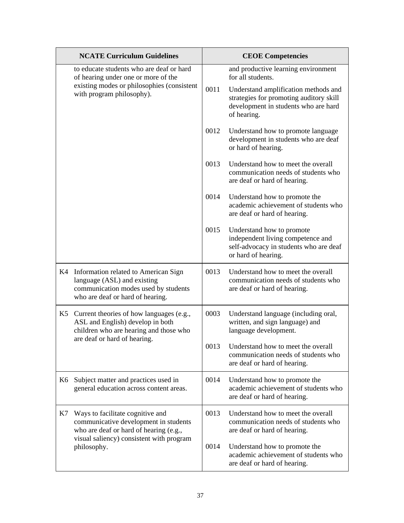|    | <b>NCATE Curriculum Guidelines</b>                                                                                                                                             |      | <b>CEOE Competencies</b>                                                                                                                                                                           |
|----|--------------------------------------------------------------------------------------------------------------------------------------------------------------------------------|------|----------------------------------------------------------------------------------------------------------------------------------------------------------------------------------------------------|
|    | to educate students who are deaf or hard<br>of hearing under one or more of the<br>existing modes or philosophies (consistent<br>with program philosophy).                     | 0011 | and productive learning environment<br>for all students.<br>Understand amplification methods and<br>strategies for promoting auditory skill<br>development in students who are hard<br>of hearing. |
|    |                                                                                                                                                                                | 0012 | Understand how to promote language<br>development in students who are deaf<br>or hard of hearing.                                                                                                  |
|    |                                                                                                                                                                                | 0013 | Understand how to meet the overall<br>communication needs of students who<br>are deaf or hard of hearing.                                                                                          |
|    |                                                                                                                                                                                | 0014 | Understand how to promote the<br>academic achievement of students who<br>are deaf or hard of hearing.                                                                                              |
|    |                                                                                                                                                                                | 0015 | Understand how to promote<br>independent living competence and<br>self-advocacy in students who are deaf<br>or hard of hearing.                                                                    |
| K4 | Information related to American Sign<br>language (ASL) and existing<br>communication modes used by students<br>who are deaf or hard of hearing.                                | 0013 | Understand how to meet the overall<br>communication needs of students who<br>are deaf or hard of hearing.                                                                                          |
| K5 | Current theories of how languages (e.g.,<br>ASL and English) develop in both<br>children who are hearing and those who<br>are deaf or hard of hearing.                         | 0003 | Understand language (including oral,<br>written, and sign language) and<br>language development.                                                                                                   |
|    |                                                                                                                                                                                | 0013 | Understand how to meet the overall<br>communication needs of students who<br>are deaf or hard of hearing.                                                                                          |
| K6 | Subject matter and practices used in<br>general education across content areas.                                                                                                | 0014 | Understand how to promote the<br>academic achievement of students who<br>are deaf or hard of hearing.                                                                                              |
| K7 | Ways to facilitate cognitive and<br>communicative development in students<br>who are deaf or hard of hearing (e.g.,<br>visual saliency) consistent with program<br>philosophy. | 0013 | Understand how to meet the overall<br>communication needs of students who<br>are deaf or hard of hearing.                                                                                          |
|    |                                                                                                                                                                                | 0014 | Understand how to promote the<br>academic achievement of students who<br>are deaf or hard of hearing.                                                                                              |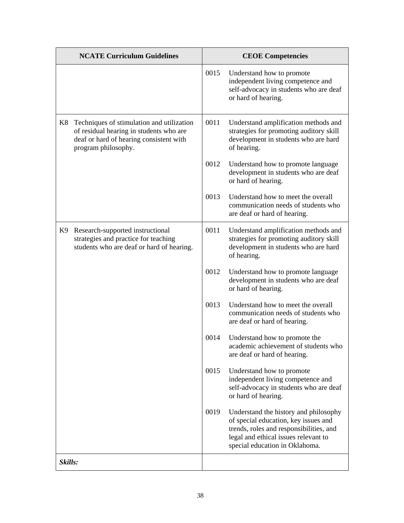| <b>NCATE Curriculum Guidelines</b> |                                                                                                                                                        | <b>CEOE</b> Competencies |                                                                                                                                                                                                    |
|------------------------------------|--------------------------------------------------------------------------------------------------------------------------------------------------------|--------------------------|----------------------------------------------------------------------------------------------------------------------------------------------------------------------------------------------------|
|                                    |                                                                                                                                                        | 0015                     | Understand how to promote<br>independent living competence and<br>self-advocacy in students who are deaf<br>or hard of hearing.                                                                    |
| K8                                 | Techniques of stimulation and utilization<br>of residual hearing in students who are<br>deaf or hard of hearing consistent with<br>program philosophy. | 0011                     | Understand amplification methods and<br>strategies for promoting auditory skill<br>development in students who are hard<br>of hearing.                                                             |
|                                    |                                                                                                                                                        | 0012                     | Understand how to promote language<br>development in students who are deaf<br>or hard of hearing.                                                                                                  |
|                                    |                                                                                                                                                        | 0013                     | Understand how to meet the overall<br>communication needs of students who<br>are deaf or hard of hearing.                                                                                          |
| K9                                 | Research-supported instructional<br>strategies and practice for teaching<br>students who are deaf or hard of hearing.                                  | 0011                     | Understand amplification methods and<br>strategies for promoting auditory skill<br>development in students who are hard<br>of hearing.                                                             |
|                                    |                                                                                                                                                        | 0012                     | Understand how to promote language<br>development in students who are deaf<br>or hard of hearing.                                                                                                  |
|                                    |                                                                                                                                                        | 0013                     | Understand how to meet the overall<br>communication needs of students who<br>are deaf or hard of hearing.                                                                                          |
|                                    |                                                                                                                                                        | 0014                     | Understand how to promote the<br>academic achievement of students who<br>are deaf or hard of hearing.                                                                                              |
|                                    |                                                                                                                                                        | 0015                     | Understand how to promote<br>independent living competence and<br>self-advocacy in students who are deaf<br>or hard of hearing.                                                                    |
|                                    |                                                                                                                                                        | 0019                     | Understand the history and philosophy<br>of special education, key issues and<br>trends, roles and responsibilities, and<br>legal and ethical issues relevant to<br>special education in Oklahoma. |
| Skills:                            |                                                                                                                                                        |                          |                                                                                                                                                                                                    |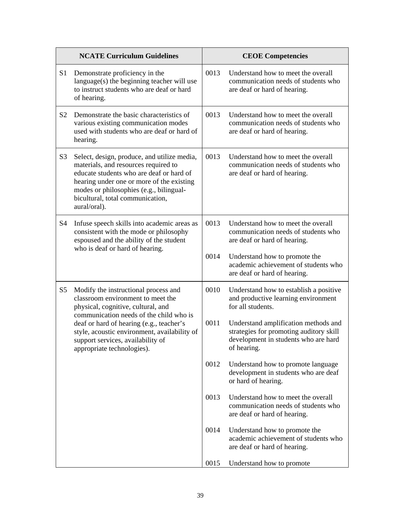|                | <b>NCATE Curriculum Guidelines</b>                                                                                                                                                                                                                                                                                        |      | <b>CEOE Competencies</b>                                                                                                               |
|----------------|---------------------------------------------------------------------------------------------------------------------------------------------------------------------------------------------------------------------------------------------------------------------------------------------------------------------------|------|----------------------------------------------------------------------------------------------------------------------------------------|
| S <sub>1</sub> | Demonstrate proficiency in the<br>$language(s)$ the beginning teacher will use<br>to instruct students who are deaf or hard<br>of hearing.                                                                                                                                                                                | 0013 | Understand how to meet the overall<br>communication needs of students who<br>are deaf or hard of hearing.                              |
| S <sub>2</sub> | Demonstrate the basic characteristics of<br>various existing communication modes<br>used with students who are deaf or hard of<br>hearing.                                                                                                                                                                                | 0013 | Understand how to meet the overall<br>communication needs of students who<br>are deaf or hard of hearing.                              |
| S <sub>3</sub> | Select, design, produce, and utilize media,<br>materials, and resources required to<br>educate students who are deaf or hard of<br>hearing under one or more of the existing<br>modes or philosophies (e.g., bilingual-<br>bicultural, total communication,<br>aural/oral).                                               | 0013 | Understand how to meet the overall<br>communication needs of students who<br>are deaf or hard of hearing.                              |
| S <sub>4</sub> | Infuse speech skills into academic areas as<br>consistent with the mode or philosophy<br>espoused and the ability of the student<br>who is deaf or hard of hearing.                                                                                                                                                       | 0013 | Understand how to meet the overall<br>communication needs of students who<br>are deaf or hard of hearing.                              |
|                |                                                                                                                                                                                                                                                                                                                           | 0014 | Understand how to promote the<br>academic achievement of students who<br>are deaf or hard of hearing.                                  |
| S <sub>5</sub> | Modify the instructional process and<br>classroom environment to meet the<br>physical, cognitive, cultural, and<br>communication needs of the child who is<br>deaf or hard of hearing (e.g., teacher's<br>style, acoustic environment, availability of<br>support services, availability of<br>appropriate technologies). | 0010 | Understand how to establish a positive<br>and productive learning environment<br>for all students.                                     |
|                |                                                                                                                                                                                                                                                                                                                           | 0011 | Understand amplification methods and<br>strategies for promoting auditory skill<br>development in students who are hard<br>of hearing. |
|                |                                                                                                                                                                                                                                                                                                                           | 0012 | Understand how to promote language<br>development in students who are deaf<br>or hard of hearing.                                      |
|                |                                                                                                                                                                                                                                                                                                                           | 0013 | Understand how to meet the overall<br>communication needs of students who<br>are deaf or hard of hearing.                              |
|                |                                                                                                                                                                                                                                                                                                                           | 0014 | Understand how to promote the<br>academic achievement of students who<br>are deaf or hard of hearing.                                  |
|                |                                                                                                                                                                                                                                                                                                                           | 0015 | Understand how to promote                                                                                                              |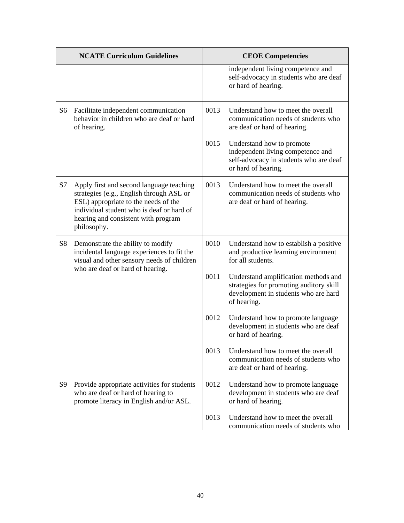| <b>NCATE Curriculum Guidelines</b> |                                                                                                                                                                                                                                 | <b>CEOE Competencies</b> |                                                                                                                                        |
|------------------------------------|---------------------------------------------------------------------------------------------------------------------------------------------------------------------------------------------------------------------------------|--------------------------|----------------------------------------------------------------------------------------------------------------------------------------|
|                                    |                                                                                                                                                                                                                                 |                          | independent living competence and<br>self-advocacy in students who are deaf<br>or hard of hearing.                                     |
| S6                                 | Facilitate independent communication<br>behavior in children who are deaf or hard<br>of hearing.                                                                                                                                | 0013                     | Understand how to meet the overall<br>communication needs of students who<br>are deaf or hard of hearing.                              |
|                                    |                                                                                                                                                                                                                                 | 0015                     | Understand how to promote<br>independent living competence and<br>self-advocacy in students who are deaf<br>or hard of hearing.        |
| S7                                 | Apply first and second language teaching<br>strategies (e.g., English through ASL or<br>ESL) appropriate to the needs of the<br>individual student who is deaf or hard of<br>hearing and consistent with program<br>philosophy. | 0013                     | Understand how to meet the overall<br>communication needs of students who<br>are deaf or hard of hearing.                              |
| S <sub>8</sub>                     | Demonstrate the ability to modify<br>incidental language experiences to fit the<br>visual and other sensory needs of children                                                                                                   | 0010                     | Understand how to establish a positive<br>and productive learning environment<br>for all students.                                     |
|                                    | who are deaf or hard of hearing.                                                                                                                                                                                                | 0011                     | Understand amplification methods and<br>strategies for promoting auditory skill<br>development in students who are hard<br>of hearing. |
|                                    |                                                                                                                                                                                                                                 | 0012                     | Understand how to promote language<br>development in students who are deaf<br>or hard of hearing.                                      |
|                                    |                                                                                                                                                                                                                                 | 0013                     | Understand how to meet the overall<br>communication needs of students who<br>are deaf or hard of hearing.                              |
| S9                                 | Provide appropriate activities for students<br>who are deaf or hard of hearing to<br>promote literacy in English and/or ASL.                                                                                                    | 0012                     | Understand how to promote language<br>development in students who are deaf<br>or hard of hearing.                                      |
|                                    |                                                                                                                                                                                                                                 | 0013                     | Understand how to meet the overall<br>communication needs of students who                                                              |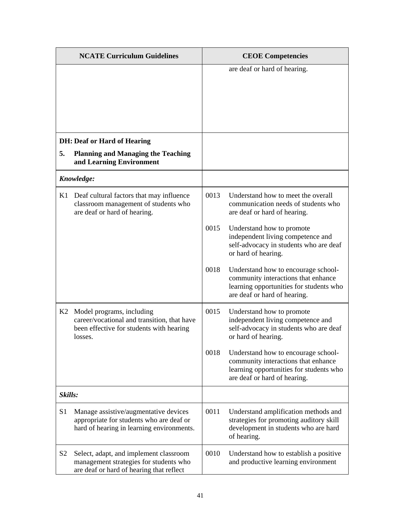| <b>NCATE Curriculum Guidelines</b> |                                                                                                                                 | <b>CEOE Competencies</b> |                                                                                                                                                       |
|------------------------------------|---------------------------------------------------------------------------------------------------------------------------------|--------------------------|-------------------------------------------------------------------------------------------------------------------------------------------------------|
|                                    |                                                                                                                                 |                          | are deaf or hard of hearing.                                                                                                                          |
|                                    | <b>DH: Deaf or Hard of Hearing</b>                                                                                              |                          |                                                                                                                                                       |
| 5.                                 | <b>Planning and Managing the Teaching</b><br>and Learning Environment                                                           |                          |                                                                                                                                                       |
|                                    | Knowledge:                                                                                                                      |                          |                                                                                                                                                       |
| K1                                 | Deaf cultural factors that may influence<br>classroom management of students who<br>are deaf or hard of hearing.                | 0013                     | Understand how to meet the overall<br>communication needs of students who<br>are deaf or hard of hearing.                                             |
|                                    |                                                                                                                                 | 0015                     | Understand how to promote<br>independent living competence and<br>self-advocacy in students who are deaf<br>or hard of hearing.                       |
|                                    |                                                                                                                                 | 0018                     | Understand how to encourage school-<br>community interactions that enhance<br>learning opportunities for students who<br>are deaf or hard of hearing. |
| K2                                 | Model programs, including<br>career/vocational and transition, that have<br>been effective for students with hearing<br>losses. | 0015                     | Understand how to promote<br>independent living competence and<br>self-advocacy in students who are deaf<br>or hard of hearing.                       |
|                                    |                                                                                                                                 | 0018                     | Understand how to encourage school-<br>community interactions that enhance<br>learning opportunities for students who<br>are deaf or hard of hearing. |
| Skills:                            |                                                                                                                                 |                          |                                                                                                                                                       |
| S <sub>1</sub>                     | Manage assistive/augmentative devices<br>appropriate for students who are deaf or<br>hard of hearing in learning environments.  | 0011                     | Understand amplification methods and<br>strategies for promoting auditory skill<br>development in students who are hard<br>of hearing.                |
| S <sub>2</sub>                     | Select, adapt, and implement classroom<br>management strategies for students who<br>are deaf or hard of hearing that reflect    | 0010                     | Understand how to establish a positive<br>and productive learning environment                                                                         |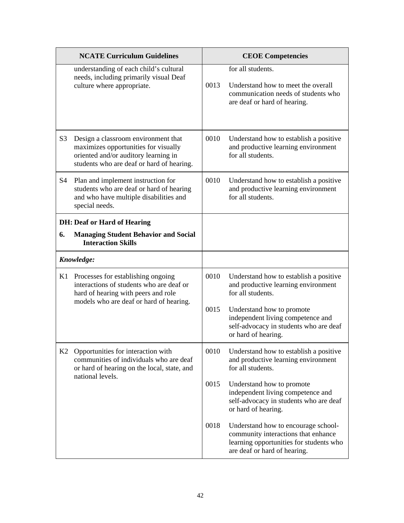| <b>NCATE Curriculum Guidelines</b> |                                                                                                                                                                     | <b>CEOE Competencies</b> |                                                                                                                                                       |
|------------------------------------|---------------------------------------------------------------------------------------------------------------------------------------------------------------------|--------------------------|-------------------------------------------------------------------------------------------------------------------------------------------------------|
|                                    | understanding of each child's cultural<br>needs, including primarily visual Deaf<br>culture where appropriate.                                                      | 0013                     | for all students.<br>Understand how to meet the overall<br>communication needs of students who<br>are deaf or hard of hearing.                        |
| S <sub>3</sub>                     | Design a classroom environment that<br>maximizes opportunities for visually<br>oriented and/or auditory learning in<br>students who are deaf or hard of hearing.    | 0010                     | Understand how to establish a positive<br>and productive learning environment<br>for all students.                                                    |
| S4                                 | Plan and implement instruction for<br>students who are deaf or hard of hearing<br>and who have multiple disabilities and<br>special needs.                          | 0010                     | Understand how to establish a positive<br>and productive learning environment<br>for all students.                                                    |
|                                    | <b>DH: Deaf or Hard of Hearing</b>                                                                                                                                  |                          |                                                                                                                                                       |
| 6.                                 | <b>Managing Student Behavior and Social</b><br><b>Interaction Skills</b>                                                                                            |                          |                                                                                                                                                       |
|                                    | Knowledge:                                                                                                                                                          |                          |                                                                                                                                                       |
|                                    | K1 Processes for establishing ongoing<br>interactions of students who are deaf or<br>hard of hearing with peers and role<br>models who are deaf or hard of hearing. | 0010                     | Understand how to establish a positive<br>and productive learning environment<br>for all students.                                                    |
|                                    |                                                                                                                                                                     | 0015                     | Understand how to promote<br>independent living competence and<br>self-advocacy in students who are deaf<br>or hard of hearing.                       |
| K2                                 | Opportunities for interaction with<br>communities of individuals who are deaf<br>or hard of hearing on the local, state, and                                        | 0010                     | Understand how to establish a positive<br>and productive learning environment<br>for all students.                                                    |
|                                    | national levels.                                                                                                                                                    | 0015                     | Understand how to promote<br>independent living competence and<br>self-advocacy in students who are deaf<br>or hard of hearing.                       |
|                                    |                                                                                                                                                                     | 0018                     | Understand how to encourage school-<br>community interactions that enhance<br>learning opportunities for students who<br>are deaf or hard of hearing. |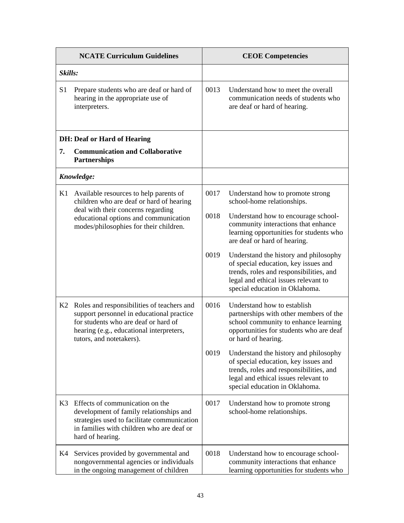| <b>NCATE Curriculum Guidelines</b> |                                                                                                                                                                                                         |      | <b>CEOE Competencies</b>                                                                                                                                                                           |
|------------------------------------|---------------------------------------------------------------------------------------------------------------------------------------------------------------------------------------------------------|------|----------------------------------------------------------------------------------------------------------------------------------------------------------------------------------------------------|
| Skills:                            |                                                                                                                                                                                                         |      |                                                                                                                                                                                                    |
| S <sub>1</sub>                     | Prepare students who are deaf or hard of<br>hearing in the appropriate use of<br>interpreters.                                                                                                          | 0013 | Understand how to meet the overall<br>communication needs of students who<br>are deaf or hard of hearing.                                                                                          |
|                                    | <b>DH: Deaf or Hard of Hearing</b>                                                                                                                                                                      |      |                                                                                                                                                                                                    |
| 7.                                 | <b>Communication and Collaborative</b><br><b>Partnerships</b>                                                                                                                                           |      |                                                                                                                                                                                                    |
|                                    | Knowledge:                                                                                                                                                                                              |      |                                                                                                                                                                                                    |
| K1                                 | Available resources to help parents of<br>children who are deaf or hard of hearing                                                                                                                      | 0017 | Understand how to promote strong<br>school-home relationships.                                                                                                                                     |
|                                    | deal with their concerns regarding<br>educational options and communication<br>modes/philosophies for their children.                                                                                   | 0018 | Understand how to encourage school-<br>community interactions that enhance<br>learning opportunities for students who<br>are deaf or hard of hearing.                                              |
|                                    |                                                                                                                                                                                                         | 0019 | Understand the history and philosophy<br>of special education, key issues and<br>trends, roles and responsibilities, and<br>legal and ethical issues relevant to<br>special education in Oklahoma. |
| K2                                 | Roles and responsibilities of teachers and<br>support personnel in educational practice<br>for students who are deaf or hard of<br>hearing (e.g., educational interpreters,<br>tutors, and notetakers). | 0016 | Understand how to establish<br>partnerships with other members of the<br>school community to enhance learning<br>opportunities for students who are deaf<br>or hard of hearing.                    |
|                                    |                                                                                                                                                                                                         | 0019 | Understand the history and philosophy<br>of special education, key issues and<br>trends, roles and responsibilities, and<br>legal and ethical issues relevant to<br>special education in Oklahoma. |
| K3                                 | Effects of communication on the<br>development of family relationships and<br>strategies used to facilitate communication<br>in families with children who are deaf or<br>hard of hearing.              | 0017 | Understand how to promote strong<br>school-home relationships.                                                                                                                                     |
| K4                                 | Services provided by governmental and<br>nongovernmental agencies or individuals<br>in the ongoing management of children                                                                               | 0018 | Understand how to encourage school-<br>community interactions that enhance<br>learning opportunities for students who                                                                              |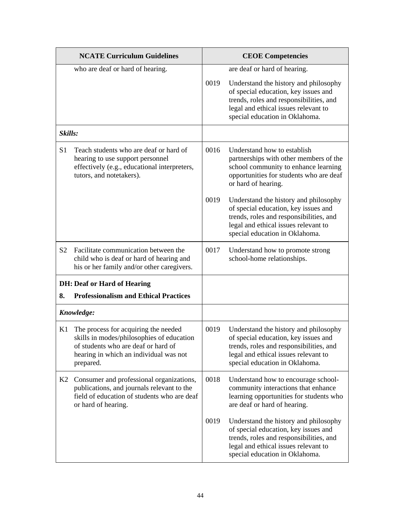| <b>NCATE Curriculum Guidelines</b> |                                                                                                                                                                                 | <b>CEOE Competencies</b> |                                                                                                                                                                                                    |
|------------------------------------|---------------------------------------------------------------------------------------------------------------------------------------------------------------------------------|--------------------------|----------------------------------------------------------------------------------------------------------------------------------------------------------------------------------------------------|
|                                    | who are deaf or hard of hearing.                                                                                                                                                |                          | are deaf or hard of hearing.                                                                                                                                                                       |
|                                    |                                                                                                                                                                                 | 0019                     | Understand the history and philosophy<br>of special education, key issues and<br>trends, roles and responsibilities, and<br>legal and ethical issues relevant to<br>special education in Oklahoma. |
| Skills:                            |                                                                                                                                                                                 |                          |                                                                                                                                                                                                    |
| S <sub>1</sub>                     | Teach students who are deaf or hard of<br>hearing to use support personnel<br>effectively (e.g., educational interpreters,<br>tutors, and notetakers).                          | 0016                     | Understand how to establish<br>partnerships with other members of the<br>school community to enhance learning<br>opportunities for students who are deaf<br>or hard of hearing.                    |
|                                    |                                                                                                                                                                                 | 0019                     | Understand the history and philosophy<br>of special education, key issues and<br>trends, roles and responsibilities, and<br>legal and ethical issues relevant to<br>special education in Oklahoma. |
| S <sub>2</sub>                     | Facilitate communication between the<br>child who is deaf or hard of hearing and<br>his or her family and/or other caregivers.                                                  | 0017                     | Understand how to promote strong<br>school-home relationships.                                                                                                                                     |
|                                    | <b>DH: Deaf or Hard of Hearing</b>                                                                                                                                              |                          |                                                                                                                                                                                                    |
| 8.                                 | <b>Professionalism and Ethical Practices</b>                                                                                                                                    |                          |                                                                                                                                                                                                    |
|                                    | Knowledge:                                                                                                                                                                      |                          |                                                                                                                                                                                                    |
| K1                                 | The process for acquiring the needed<br>skills in modes/philosophies of education<br>of students who are deaf or hard of<br>hearing in which an individual was not<br>prepared. | 0019                     | Understand the history and philosophy<br>of special education, key issues and<br>trends, roles and responsibilities, and<br>legal and ethical issues relevant to<br>special education in Oklahoma. |
| K2                                 | Consumer and professional organizations,<br>publications, and journals relevant to the<br>field of education of students who are deaf<br>or hard of hearing.                    | 0018                     | Understand how to encourage school-<br>community interactions that enhance<br>learning opportunities for students who<br>are deaf or hard of hearing.                                              |
|                                    |                                                                                                                                                                                 | 0019                     | Understand the history and philosophy<br>of special education, key issues and<br>trends, roles and responsibilities, and<br>legal and ethical issues relevant to<br>special education in Oklahoma. |